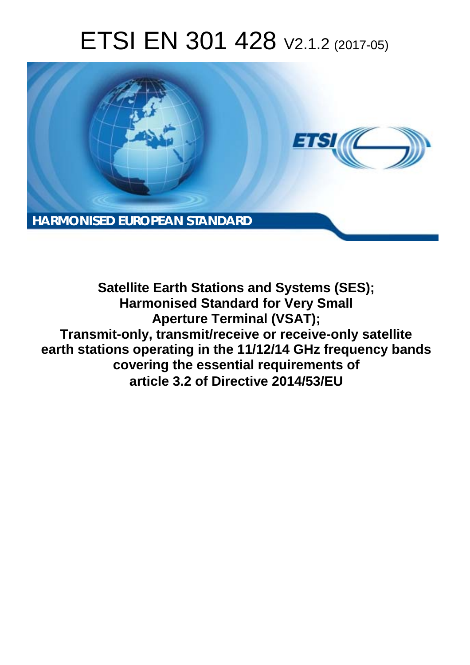# ETSI EN 301 428 V2.1.2 (2017-05)



**Satellite Earth Stations and Systems (SES); Harmonised Standard for Very Small Aperture Terminal (VSAT); Transmit-only, transmit/receive or receive-only satellite earth stations operating in the 11/12/14 GHz frequency bands covering the essential requirements of article 3.2 of Directive 2014/53/EU**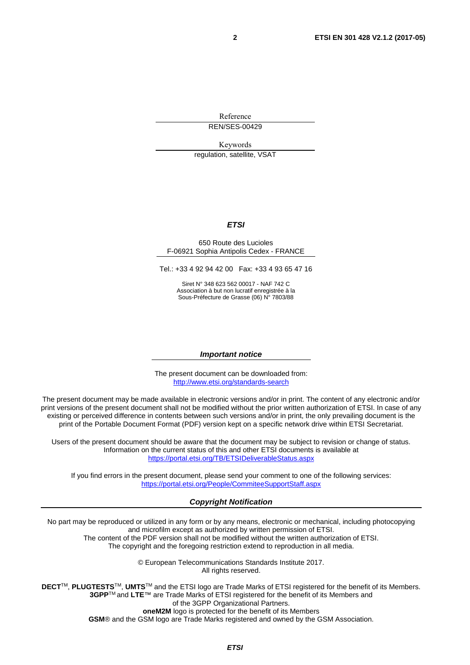Reference REN/SES-00429

Keywords

regulation, satellite, VSAT

#### *ETSI*

#### 650 Route des Lucioles F-06921 Sophia Antipolis Cedex - FRANCE

Tel.: +33 4 92 94 42 00 Fax: +33 4 93 65 47 16

Siret N° 348 623 562 00017 - NAF 742 C Association à but non lucratif enregistrée à la Sous-Préfecture de Grasse (06) N° 7803/88

#### *Important notice*

The present document can be downloaded from: <http://www.etsi.org/standards-search>

The present document may be made available in electronic versions and/or in print. The content of any electronic and/or print versions of the present document shall not be modified without the prior written authorization of ETSI. In case of any existing or perceived difference in contents between such versions and/or in print, the only prevailing document is the print of the Portable Document Format (PDF) version kept on a specific network drive within ETSI Secretariat.

Users of the present document should be aware that the document may be subject to revision or change of status. Information on the current status of this and other ETSI documents is available at <https://portal.etsi.org/TB/ETSIDeliverableStatus.aspx>

If you find errors in the present document, please send your comment to one of the following services: <https://portal.etsi.org/People/CommiteeSupportStaff.aspx>

#### *Copyright Notification*

No part may be reproduced or utilized in any form or by any means, electronic or mechanical, including photocopying and microfilm except as authorized by written permission of ETSI.

The content of the PDF version shall not be modified without the written authorization of ETSI. The copyright and the foregoing restriction extend to reproduction in all media.

> © European Telecommunications Standards Institute 2017. All rights reserved.

**DECT**TM, **PLUGTESTS**TM, **UMTS**TM and the ETSI logo are Trade Marks of ETSI registered for the benefit of its Members. **3GPP**TM and **LTE**™ are Trade Marks of ETSI registered for the benefit of its Members and of the 3GPP Organizational Partners.

**oneM2M** logo is protected for the benefit of its Members

**GSM**® and the GSM logo are Trade Marks registered and owned by the GSM Association.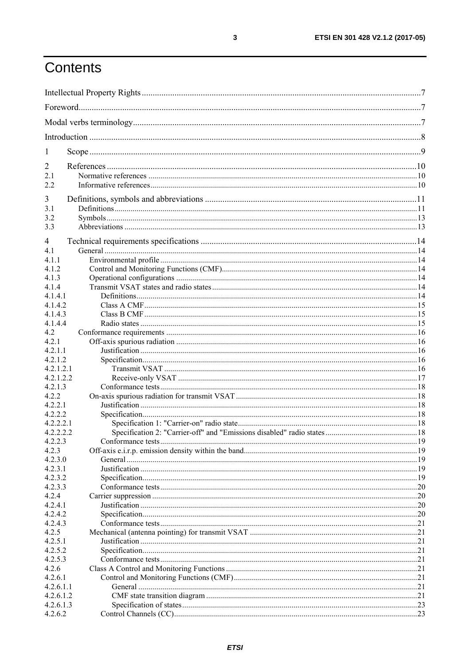## Contents

| 1                    |  |      |
|----------------------|--|------|
| 2                    |  |      |
| 2.1                  |  |      |
| 2.2                  |  |      |
| 3                    |  |      |
| 3.1                  |  |      |
| 3.2                  |  |      |
| 3.3                  |  |      |
|                      |  |      |
| 4                    |  |      |
| 4.1                  |  |      |
| 4.1.1                |  |      |
| 4.1.2                |  |      |
| 4.1.3<br>4.1.4       |  |      |
| 4.1.4.1              |  |      |
| 4.1.4.2              |  |      |
| 4.1.4.3              |  |      |
| 4.1.4.4              |  |      |
| 4.2                  |  |      |
| 4.2.1                |  |      |
| 4.2.1.1              |  |      |
| 4.2.1.2              |  |      |
| 4.2.1.2.1            |  |      |
| 4.2.1.2.2            |  |      |
| 4.2.1.3              |  |      |
| 4.2.2                |  |      |
| 4.2.2.1              |  |      |
| 4.2.2.2              |  |      |
| 4.2.2.2.1            |  |      |
| 4.2.2.2.2<br>4.2.2.3 |  |      |
| 4.2.3                |  |      |
| 4.2.3.0              |  |      |
| 4.2.3.1              |  |      |
| 4.2.3.2              |  |      |
| 4.2.3.3              |  |      |
| 4.2.4                |  |      |
| 4.2.4.1              |  |      |
| 4.2.4.2              |  |      |
| 4.2.4.3              |  | 0.21 |
| 4.2.5                |  |      |
| 4.2.5.1              |  |      |
| 4.2.5.2              |  |      |
| 4.2.5.3              |  |      |
| 4.2.6                |  |      |
| 4.2.6.1              |  | .21  |
| 4.2.6.1.1            |  | 21   |
| 4.2.6.1.2            |  |      |
| 4.2.6.1.3            |  |      |
| 4.2.6.2              |  |      |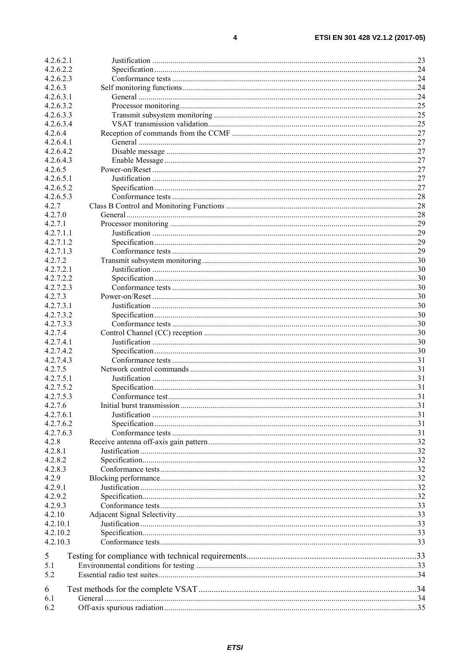| 4.2.6.2.1 |  |
|-----------|--|
|           |  |
| 4.2.6.2.2 |  |
| 4.2.6.2.3 |  |
| 4.2.6.3   |  |
| 4.2.6.3.1 |  |
| 4.2.6.3.2 |  |
|           |  |
| 4.2.6.3.3 |  |
| 4.2.6.3.4 |  |
| 4.2.6.4   |  |
| 4.2.6.4.1 |  |
| 4.2.6.4.2 |  |
| 4.2.6.4.3 |  |
|           |  |
| 4.2.6.5   |  |
| 4.2.6.5.1 |  |
| 4.2.6.5.2 |  |
| 4.2.6.5.3 |  |
| 4.2.7     |  |
| 4.2.7.0   |  |
|           |  |
| 4.2.7.1   |  |
| 4.2.7.1.1 |  |
| 4.2.7.1.2 |  |
| 4.2.7.1.3 |  |
| 4272      |  |
| 4.2.7.2.1 |  |
|           |  |
| 4.2.7.2.2 |  |
| 4.2.7.2.3 |  |
| 4.2.7.3   |  |
| 4.2.7.3.1 |  |
| 4.2.7.3.2 |  |
| 4.2.7.3.3 |  |
|           |  |
| 4.2.7.4   |  |
| 4.2.7.4.1 |  |
| 4.2.7.4.2 |  |
| 4.2.7.4.3 |  |
| 4.2.7.5   |  |
| 4.2.7.5.1 |  |
| 4.2.7.5.2 |  |
|           |  |
| 4.2.7.5.3 |  |
| 4.2.7.6   |  |
| 4.2.7.6.1 |  |
| 4.2.7.6.2 |  |
| 4.2.7.6.3 |  |
| 4.2.8     |  |
|           |  |
| 4.2.8.1   |  |
| 4.2.8.2   |  |
| 4.2.8.3   |  |
| 4.2.9     |  |
| 4.2.9.1   |  |
| 4.2.9.2   |  |
| 4.2.9.3   |  |
|           |  |
| 4.2.10    |  |
| 4.2.10.1  |  |
| 4.2.10.2  |  |
| 4.2.10.3  |  |
|           |  |
| 5         |  |
| 5.1       |  |
| 5.2       |  |
|           |  |
| 6         |  |
| 6.1       |  |
| 6.2       |  |
|           |  |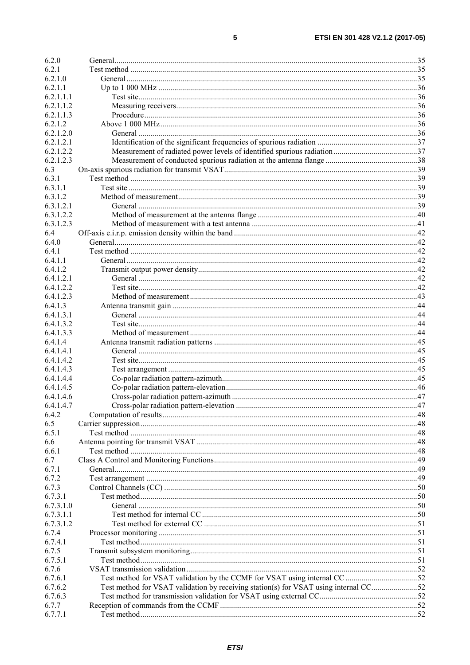| 6.2.0                |                                                                                      |  |
|----------------------|--------------------------------------------------------------------------------------|--|
| 6.2.1                |                                                                                      |  |
| 6.2.1.0              |                                                                                      |  |
| 6.2.1.1              |                                                                                      |  |
| 6.2.1.1.1            |                                                                                      |  |
| 6.2.1.1.2            |                                                                                      |  |
| 6.2.1.1.3            |                                                                                      |  |
| 6.2.1.2              |                                                                                      |  |
| 6.2.1.2.0            |                                                                                      |  |
| 6.2.1.2.1            |                                                                                      |  |
| 6.2.1.2.2            |                                                                                      |  |
| 6.2.1.2.3            |                                                                                      |  |
| 6.3                  |                                                                                      |  |
| 6.3.1                |                                                                                      |  |
| 6.3.1.1              |                                                                                      |  |
| 6.3.1.2              |                                                                                      |  |
| 6.3.1.2.1            |                                                                                      |  |
| 6.3.1.2.2            |                                                                                      |  |
| 6.3.1.2.3            |                                                                                      |  |
| 6.4                  |                                                                                      |  |
| 6.4.0                |                                                                                      |  |
| 6.4.1                |                                                                                      |  |
| 6411                 |                                                                                      |  |
| 6.4.1.2              |                                                                                      |  |
| 6.4.1.2.1            |                                                                                      |  |
| 6.4.1.2.2            |                                                                                      |  |
| 6.4.1.2.3            |                                                                                      |  |
| 6.4.1.3              |                                                                                      |  |
| 6.4.1.3.1            |                                                                                      |  |
| 6.4.1.3.2            |                                                                                      |  |
| 6.4.1.3.3            |                                                                                      |  |
| 6.4.1.4              |                                                                                      |  |
| 6.4.1.4.1            |                                                                                      |  |
| 6.4.1.4.2            |                                                                                      |  |
| 6.4.1.4.3            |                                                                                      |  |
| 6.4.1.4.4            |                                                                                      |  |
| 6.4.1.4.5            |                                                                                      |  |
| 6.4.1.4.6            |                                                                                      |  |
| 6.4.1.4.7            |                                                                                      |  |
| 6.4.2                |                                                                                      |  |
| 6.5                  |                                                                                      |  |
| 6.5.1                |                                                                                      |  |
| 6.6                  |                                                                                      |  |
| 6.6.1                |                                                                                      |  |
| 6.7                  |                                                                                      |  |
| 6.7.1                |                                                                                      |  |
| 6.7.2                |                                                                                      |  |
| 6.7.3                |                                                                                      |  |
| 6.7.3.1<br>6.7.3.1.0 |                                                                                      |  |
| 6.7.3.1.1            |                                                                                      |  |
| 6.7.3.1.2            |                                                                                      |  |
| 6.7.4                |                                                                                      |  |
| 6.7.4.1              |                                                                                      |  |
| 6.7.5                |                                                                                      |  |
| 6.7.5.1              |                                                                                      |  |
| 6.7.6                |                                                                                      |  |
| 6.7.6.1              |                                                                                      |  |
| 6.7.6.2              | Test method for VSAT validation by receiving station(s) for VSAT using internal CC52 |  |
| 6.7.6.3              |                                                                                      |  |
| 6.7.7                |                                                                                      |  |
| 6.7.7.1              |                                                                                      |  |
|                      |                                                                                      |  |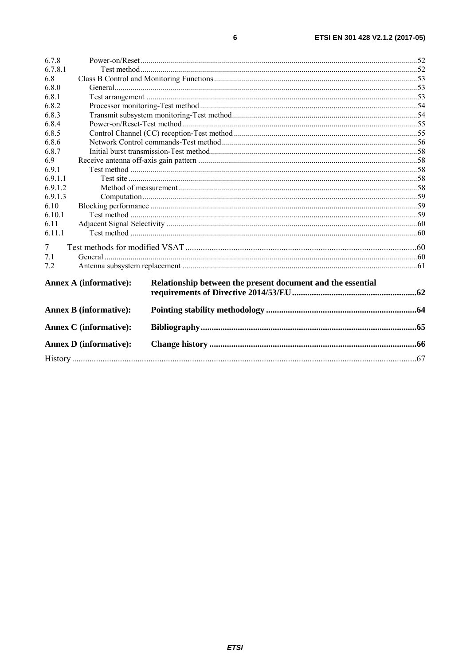| 6.7.8                         |                                                             |  |  |
|-------------------------------|-------------------------------------------------------------|--|--|
| 6.7.8.1                       |                                                             |  |  |
| 6.8                           |                                                             |  |  |
| 6.8.0                         |                                                             |  |  |
| 6.8.1                         |                                                             |  |  |
| 6.8.2                         |                                                             |  |  |
| 6.8.3                         |                                                             |  |  |
| 6.8.4                         |                                                             |  |  |
| 6.8.5                         |                                                             |  |  |
| 6.8.6                         |                                                             |  |  |
| 6.8.7                         |                                                             |  |  |
| 6.9                           |                                                             |  |  |
| 6.9.1                         |                                                             |  |  |
| 6.9.1.1                       |                                                             |  |  |
| 6.9.1.2                       |                                                             |  |  |
| 6.9.1.3                       |                                                             |  |  |
| 6.10                          |                                                             |  |  |
| 6.10.1                        |                                                             |  |  |
| 6.11                          |                                                             |  |  |
| 6.11.1                        |                                                             |  |  |
| 7                             |                                                             |  |  |
| 7.1                           |                                                             |  |  |
| 7.2                           |                                                             |  |  |
|                               |                                                             |  |  |
| Annex A (informative):        | Relationship between the present document and the essential |  |  |
|                               |                                                             |  |  |
| <b>Annex B</b> (informative): |                                                             |  |  |
| <b>Annex C</b> (informative): |                                                             |  |  |
| <b>Annex D</b> (informative): |                                                             |  |  |
|                               |                                                             |  |  |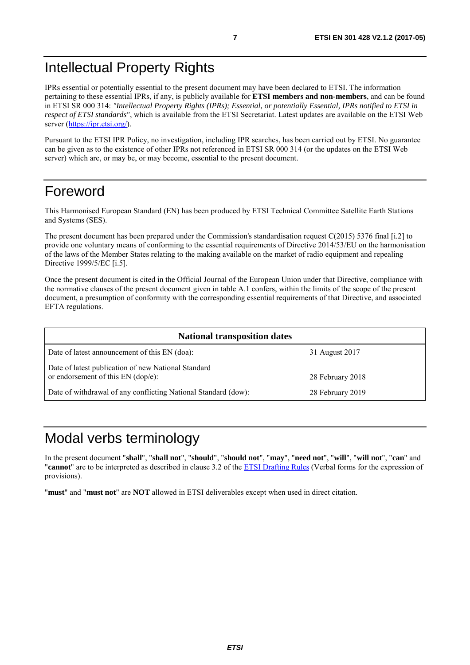## <span id="page-6-0"></span>Intellectual Property Rights

IPRs essential or potentially essential to the present document may have been declared to ETSI. The information pertaining to these essential IPRs, if any, is publicly available for **ETSI members and non-members**, and can be found in ETSI SR 000 314: *"Intellectual Property Rights (IPRs); Essential, or potentially Essential, IPRs notified to ETSI in respect of ETSI standards"*, which is available from the ETSI Secretariat. Latest updates are available on the ETSI Web server (<https://ipr.etsi.org/>).

Pursuant to the ETSI IPR Policy, no investigation, including IPR searches, has been carried out by ETSI. No guarantee can be given as to the existence of other IPRs not referenced in ETSI SR 000 314 (or the updates on the ETSI Web server) which are, or may be, or may become, essential to the present document.

## Foreword

This Harmonised European Standard (EN) has been produced by ETSI Technical Committee Satellite Earth Stations and Systems (SES).

The present document has been prepared under the Commission's standardisation request C(2015) 5376 final [\[i.2](#page-9-0)] to provide one voluntary means of conforming to the essential requirements of Directive 2014/53/EU on the harmonisation of the laws of the Member States relating to the making available on the market of radio equipment and repealing Directive 1999/5/EC [\[i.5](#page-9-0)].

Once the present document is cited in the Official Journal of the European Union under that Directive, compliance with the normative clauses of the present document given in table A.1 confers, within the limits of the scope of the present document, a presumption of conformity with the corresponding essential requirements of that Directive, and associated EFTA regulations.

| <b>National transposition dates</b>                                                         |                  |
|---------------------------------------------------------------------------------------------|------------------|
| Date of latest announcement of this EN (doa):                                               | 31 August 2017   |
| Date of latest publication of new National Standard<br>or endorsement of this $EN$ (dop/e): | 28 February 2018 |
| Date of withdrawal of any conflicting National Standard (dow):                              | 28 February 2019 |

## Modal verbs terminology

In the present document "**shall**", "**shall not**", "**should**", "**should not**", "**may**", "**need not**", "**will**", "**will not**", "**can**" and "**cannot**" are to be interpreted as described in clause 3.2 of the [ETSI Drafting Rules](https://portal.etsi.org/Services/editHelp!/Howtostart/ETSIDraftingRules.aspx) (Verbal forms for the expression of provisions).

"**must**" and "**must not**" are **NOT** allowed in ETSI deliverables except when used in direct citation.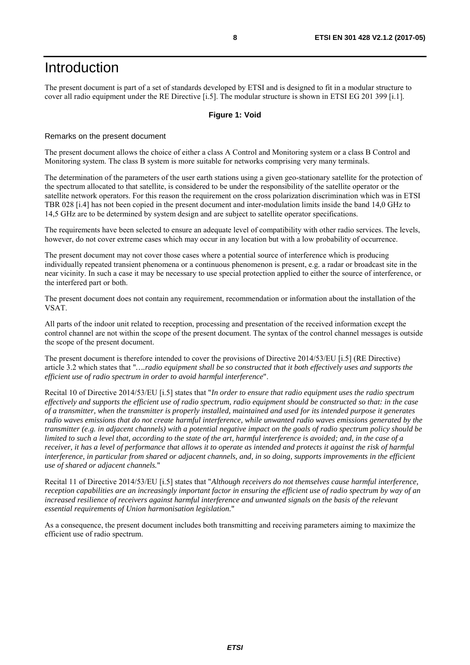## <span id="page-7-0"></span>Introduction

The present document is part of a set of standards developed by ETSI and is designed to fit in a modular structure to cover all radio equipment under the RE Directive [\[i.5](#page-9-0)]. The modular structure is shown in ETSI EG 201 399 [\[i.1](#page-9-0)].

#### **Figure 1: Void**

#### Remarks on the present document

The present document allows the choice of either a class A Control and Monitoring system or a class B Control and Monitoring system. The class B system is more suitable for networks comprising very many terminals.

The determination of the parameters of the user earth stations using a given geo-stationary satellite for the protection of the spectrum allocated to that satellite, is considered to be under the responsibility of the satellite operator or the satellite network operators. For this reason the requirement on the cross polarization discrimination which was in ETSI TBR 028 [\[i.4](#page-9-0)] has not been copied in the present document and inter-modulation limits inside the band 14,0 GHz to 14,5 GHz are to be determined by system design and are subject to satellite operator specifications.

The requirements have been selected to ensure an adequate level of compatibility with other radio services. The levels, however, do not cover extreme cases which may occur in any location but with a low probability of occurrence.

The present document may not cover those cases where a potential source of interference which is producing individually repeated transient phenomena or a continuous phenomenon is present, e.g. a radar or broadcast site in the near vicinity. In such a case it may be necessary to use special protection applied to either the source of interference, or the interfered part or both.

The present document does not contain any requirement, recommendation or information about the installation of the VSAT.

All parts of the indoor unit related to reception, processing and presentation of the received information except the control channel are not within the scope of the present document. The syntax of the control channel messages is outside the scope of the present document.

The present document is therefore intended to cover the provisions of Directive 2014/53/EU [\[i.5](#page-9-0)] (RE Directive) article 3.2 which states that "*….radio equipment shall be so constructed that it both effectively uses and supports the efficient use of radio spectrum in order to avoid harmful interference*".

Recital 10 of Directive 2014/53/EU [\[i.5](#page-9-0)] states that "*In order to ensure that radio equipment uses the radio spectrum effectively and supports the efficient use of radio spectrum, radio equipment should be constructed so that: in the case of a transmitter, when the transmitter is properly installed, maintained and used for its intended purpose it generates radio waves emissions that do not create harmful interference, while unwanted radio waves emissions generated by the transmitter (e.g. in adjacent channels) with a potential negative impact on the goals of radio spectrum policy should be limited to such a level that, according to the state of the art, harmful interference is avoided; and, in the case of a receiver, it has a level of performance that allows it to operate as intended and protects it against the risk of harmful interference, in particular from shared or adjacent channels, and, in so doing, supports improvements in the efficient use of shared or adjacent channels.*"

Recital 11 of Directive 2014/53/EU [\[i.5](#page-9-0)] states that "*Although receivers do not themselves cause harmful interference, reception capabilities are an increasingly important factor in ensuring the efficient use of radio spectrum by way of an*  increased resilience of receivers against harmful interference and unwanted signals on the basis of the relevant *essential requirements of Union harmonisation legislation.*"

As a consequence, the present document includes both transmitting and receiving parameters aiming to maximize the efficient use of radio spectrum.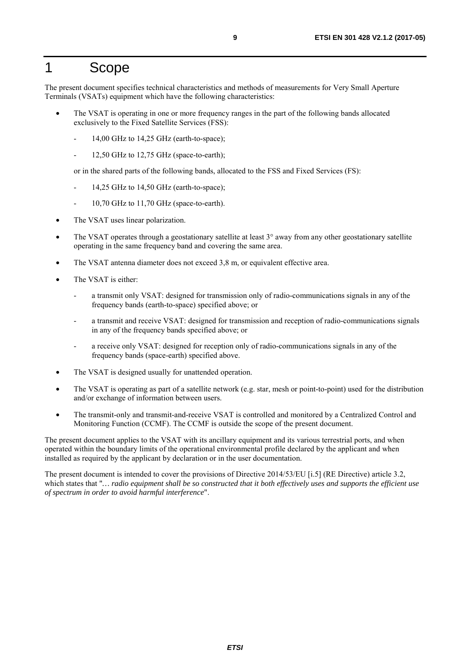## <span id="page-8-0"></span>1 Scope

The present document specifies technical characteristics and methods of measurements for Very Small Aperture Terminals (VSATs) equipment which have the following characteristics:

- The VSAT is operating in one or more frequency ranges in the part of the following bands allocated exclusively to the Fixed Satellite Services (FSS):
	- 14,00 GHz to 14,25 GHz (earth-to-space);
	- 12,50 GHz to  $12,75$  GHz (space-to-earth);

or in the shared parts of the following bands, allocated to the FSS and Fixed Services (FS):

- 14,25 GHz to 14.50 GHz (earth-to-space);
- 10,70 GHz to 11,70 GHz (space-to-earth).
- The VSAT uses linear polarization.
- The VSAT operates through a geostationary satellite at least 3° away from any other geostationary satellite operating in the same frequency band and covering the same area.
- The VSAT antenna diameter does not exceed 3,8 m, or equivalent effective area.
- The VSAT is either:
	- a transmit only VSAT: designed for transmission only of radio-communications signals in any of the frequency bands (earth-to-space) specified above; or
	- a transmit and receive VSAT: designed for transmission and reception of radio-communications signals in any of the frequency bands specified above; or
	- a receive only VSAT: designed for reception only of radio-communications signals in any of the frequency bands (space-earth) specified above.
- The VSAT is designed usually for unattended operation.
- The VSAT is operating as part of a satellite network (e.g. star, mesh or point-to-point) used for the distribution and/or exchange of information between users.
- The transmit-only and transmit-and-receive VSAT is controlled and monitored by a Centralized Control and Monitoring Function (CCMF). The CCMF is outside the scope of the present document.

The present document applies to the VSAT with its ancillary equipment and its various terrestrial ports, and when operated within the boundary limits of the operational environmental profile declared by the applicant and when installed as required by the applicant by declaration or in the user documentation.

The present document is intended to cover the provisions of Directive 2014/53/EU [\[i.5](#page-9-0)] (RE Directive) article 3.2, which states that "*… radio equipment shall be so constructed that it both effectively uses and supports the efficient use of spectrum in order to avoid harmful interference*".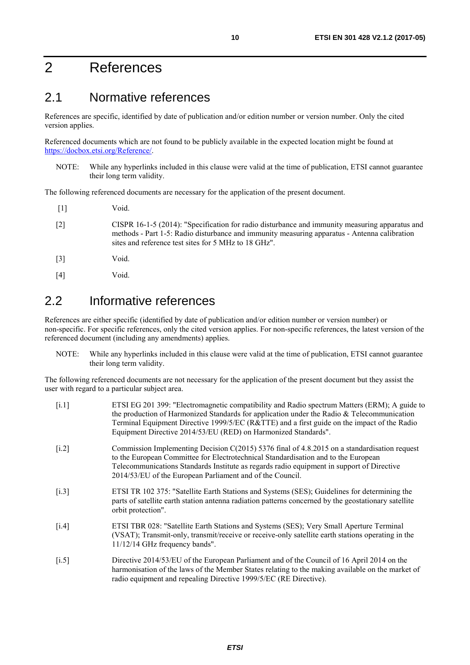## <span id="page-9-0"></span>2 References

## 2.1 Normative references

References are specific, identified by date of publication and/or edition number or version number. Only the cited version applies.

Referenced documents which are not found to be publicly available in the expected location might be found at <https://docbox.etsi.org/Reference/>.

NOTE: While any hyperlinks included in this clause were valid at the time of publication, ETSI cannot guarantee their long term validity.

The following referenced documents are necessary for the application of the present document.

- [1] Void. [2] CISPR 16-1-5 (2014): "Specification for radio disturbance and immunity measuring apparatus and methods - Part 1-5: Radio disturbance and immunity measuring apparatus - Antenna calibration sites and reference test sites for 5 MHz to 18 GHz". [3] Void.
- 
- [4] Void.

## 2.2 Informative references

References are either specific (identified by date of publication and/or edition number or version number) or non-specific. For specific references, only the cited version applies. For non-specific references, the latest version of the referenced document (including any amendments) applies.

NOTE: While any hyperlinks included in this clause were valid at the time of publication, ETSI cannot guarantee their long term validity.

The following referenced documents are not necessary for the application of the present document but they assist the user with regard to a particular subject area.

[i.1] ETSI EG 201 399: "Electromagnetic compatibility and Radio spectrum Matters (ERM); A guide to the production of Harmonized Standards for application under the Radio & Telecommunication Terminal Equipment Directive 1999/5/EC (R&TTE) and a first guide on the impact of the Radio Equipment Directive 2014/53/EU (RED) on Harmonized Standards". [i.2] Commission Implementing Decision C(2015) 5376 final of 4.8.2015 on a standardisation request to the European Committee for Electrotechnical Standardisation and to the European Telecommunications Standards Institute as regards radio equipment in support of Directive 2014/53/EU of the European Parliament and of the Council. [i.3] ETSI TR 102 375: "Satellite Earth Stations and Systems (SES); Guidelines for determining the parts of satellite earth station antenna radiation patterns concerned by the geostationary satellite orbit protection". [i.4] ETSI TBR 028: "Satellite Earth Stations and Systems (SES); Very Small Aperture Terminal (VSAT); Transmit-only, transmit/receive or receive-only satellite earth stations operating in the 11/12/14 GHz frequency bands". [i.5] Directive 2014/53/EU of the European Parliament and of the Council of 16 April 2014 on the harmonisation of the laws of the Member States relating to the making available on the market of radio equipment and repealing Directive 1999/5/EC (RE Directive).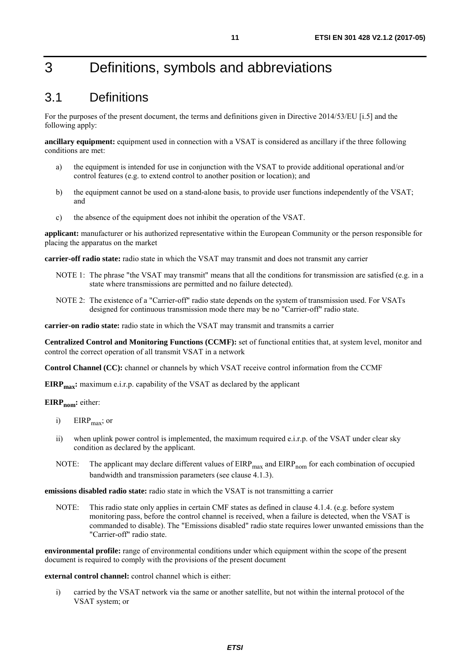## <span id="page-10-0"></span>3 Definitions, symbols and abbreviations

## 3.1 Definitions

For the purposes of the present document, the terms and definitions given in Directive 2014/53/EU [\[i.5](#page-9-0)] and the following apply:

**ancillary equipment:** equipment used in connection with a VSAT is considered as ancillary if the three following conditions are met:

- a) the equipment is intended for use in conjunction with the VSAT to provide additional operational and/or control features (e.g. to extend control to another position or location); and
- b) the equipment cannot be used on a stand-alone basis, to provide user functions independently of the VSAT; and
- c) the absence of the equipment does not inhibit the operation of the VSAT.

**applicant:** manufacturer or his authorized representative within the European Community or the person responsible for placing the apparatus on the market

**carrier-off radio state:** radio state in which the VSAT may transmit and does not transmit any carrier

- NOTE 1: The phrase "the VSAT may transmit" means that all the conditions for transmission are satisfied (e.g. in a state where transmissions are permitted and no failure detected).
- NOTE 2: The existence of a "Carrier-off" radio state depends on the system of transmission used. For VSATs designed for continuous transmission mode there may be no "Carrier-off" radio state.

**carrier-on radio state:** radio state in which the VSAT may transmit and transmits a carrier

**Centralized Control and Monitoring Functions (CCMF):** set of functional entities that, at system level, monitor and control the correct operation of all transmit VSAT in a network

**Control Channel (CC):** channel or channels by which VSAT receive control information from the CCMF

**EIRP<sub>max</sub>:** maximum e.i.r.p. capability of the VSAT as declared by the applicant

#### **EIRP<sub>nom</sub>**: either:

- i)  $EIRP<sub>max</sub>$ ; or
- ii) when uplink power control is implemented, the maximum required e.i.r.p. of the VSAT under clear sky condition as declared by the applicant.
- NOTE: The applicant may declare different values of  $EIRP<sub>max</sub>$  and  $EIRP<sub>nom</sub>$  for each combination of occupied bandwidth and transmission parameters (see clause 4.1.3).

**emissions disabled radio state:** radio state in which the VSAT is not transmitting a carrier

NOTE: This radio state only applies in certain CMF states as defined in clause 4.1.4. (e.g. before system monitoring pass, before the control channel is received, when a failure is detected, when the VSAT is commanded to disable). The "Emissions disabled" radio state requires lower unwanted emissions than the "Carrier-off" radio state.

**environmental profile:** range of environmental conditions under which equipment within the scope of the present document is required to comply with the provisions of the present document

**external control channel:** control channel which is either:

i) carried by the VSAT network via the same or another satellite, but not within the internal protocol of the VSAT system; or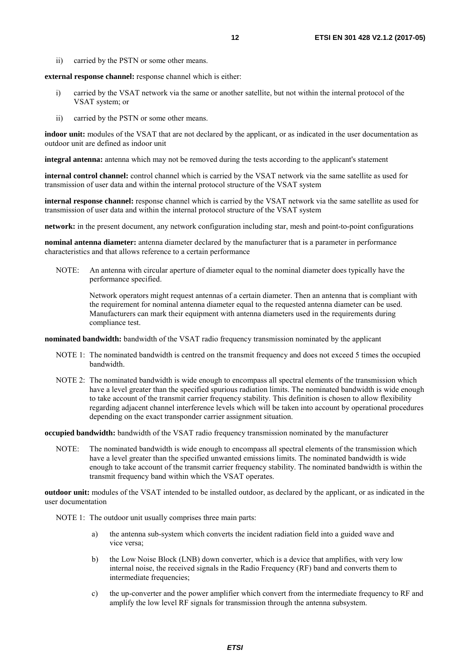ii) carried by the PSTN or some other means.

**external response channel:** response channel which is either:

- i) carried by the VSAT network via the same or another satellite, but not within the internal protocol of the VSAT system; or
- ii) carried by the PSTN or some other means.

**indoor unit:** modules of the VSAT that are not declared by the applicant, or as indicated in the user documentation as outdoor unit are defined as indoor unit

**integral antenna:** antenna which may not be removed during the tests according to the applicant's statement

**internal control channel:** control channel which is carried by the VSAT network via the same satellite as used for transmission of user data and within the internal protocol structure of the VSAT system

**internal response channel:** response channel which is carried by the VSAT network via the same satellite as used for transmission of user data and within the internal protocol structure of the VSAT system

**network:** in the present document, any network configuration including star, mesh and point-to-point configurations

**nominal antenna diameter:** antenna diameter declared by the manufacturer that is a parameter in performance characteristics and that allows reference to a certain performance

NOTE: An antenna with circular aperture of diameter equal to the nominal diameter does typically have the performance specified.

 Network operators might request antennas of a certain diameter. Then an antenna that is compliant with the requirement for nominal antenna diameter equal to the requested antenna diameter can be used. Manufacturers can mark their equipment with antenna diameters used in the requirements during compliance test.

**nominated bandwidth:** bandwidth of the VSAT radio frequency transmission nominated by the applicant

- NOTE 1: The nominated bandwidth is centred on the transmit frequency and does not exceed 5 times the occupied bandwidth.
- NOTE 2: The nominated bandwidth is wide enough to encompass all spectral elements of the transmission which have a level greater than the specified spurious radiation limits. The nominated bandwidth is wide enough to take account of the transmit carrier frequency stability. This definition is chosen to allow flexibility regarding adjacent channel interference levels which will be taken into account by operational procedures depending on the exact transponder carrier assignment situation.

**occupied bandwidth:** bandwidth of the VSAT radio frequency transmission nominated by the manufacturer

NOTE: The nominated bandwidth is wide enough to encompass all spectral elements of the transmission which have a level greater than the specified unwanted emissions limits. The nominated bandwidth is wide enough to take account of the transmit carrier frequency stability. The nominated bandwidth is within the transmit frequency band within which the VSAT operates.

**outdoor unit:** modules of the VSAT intended to be installed outdoor, as declared by the applicant, or as indicated in the user documentation

NOTE 1: The outdoor unit usually comprises three main parts:

- a) the antenna sub-system which converts the incident radiation field into a guided wave and vice versa;
- b) the Low Noise Block (LNB) down converter, which is a device that amplifies, with very low internal noise, the received signals in the Radio Frequency (RF) band and converts them to intermediate frequencies:
- c) the up-converter and the power amplifier which convert from the intermediate frequency to RF and amplify the low level RF signals for transmission through the antenna subsystem.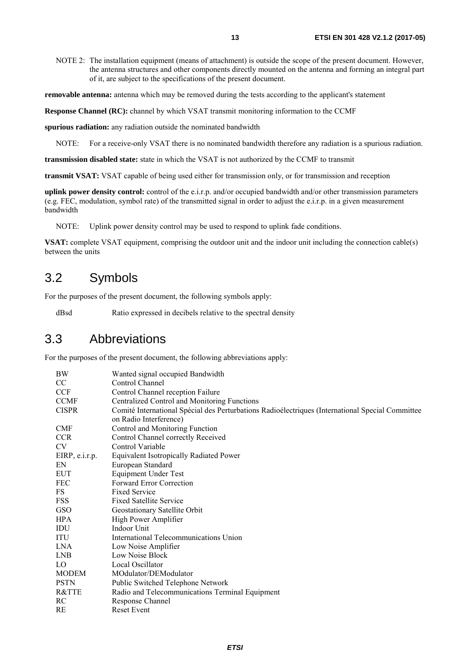<span id="page-12-0"></span>NOTE 2: The installation equipment (means of attachment) is outside the scope of the present document. However, the antenna structures and other components directly mounted on the antenna and forming an integral part of it, are subject to the specifications of the present document.

**removable antenna:** antenna which may be removed during the tests according to the applicant's statement

**Response Channel (RC):** channel by which VSAT transmit monitoring information to the CCMF

**spurious radiation:** any radiation outside the nominated bandwidth

NOTE: For a receive-only VSAT there is no nominated bandwidth therefore any radiation is a spurious radiation.

**transmission disabled state:** state in which the VSAT is not authorized by the CCMF to transmit

**transmit VSAT:** VSAT capable of being used either for transmission only, or for transmission and reception

**uplink power density control:** control of the e.i.r.p. and/or occupied bandwidth and/or other transmission parameters (e.g. FEC, modulation, symbol rate) of the transmitted signal in order to adjust the e.i.r.p. in a given measurement bandwidth

NOTE: Uplink power density control may be used to respond to uplink fade conditions.

**VSAT:** complete VSAT equipment, comprising the outdoor unit and the indoor unit including the connection cable(s) between the units

## 3.2 Symbols

For the purposes of the present document, the following symbols apply:

dBsd Ratio expressed in decibels relative to the spectral density

## 3.3 Abbreviations

For the purposes of the present document, the following abbreviations apply:

| <b>BW</b>      | Wanted signal occupied Bandwidth                                                                                           |
|----------------|----------------------------------------------------------------------------------------------------------------------------|
| CC             | Control Channel                                                                                                            |
| <b>CCF</b>     | Control Channel reception Failure                                                                                          |
| <b>CCMF</b>    | Centralized Control and Monitoring Functions                                                                               |
| <b>CISPR</b>   | Comité International Spécial des Perturbations Radioélectriques (International Special Committee<br>on Radio Interference) |
| <b>CMF</b>     | Control and Monitoring Function                                                                                            |
| <b>CCR</b>     | Control Channel correctly Received                                                                                         |
| <b>CV</b>      | Control Variable                                                                                                           |
| EIRP, e.i.r.p. | <b>Equivalent Isotropically Radiated Power</b>                                                                             |
| EN             | European Standard                                                                                                          |
| <b>EUT</b>     | <b>Equipment Under Test</b>                                                                                                |
| <b>FEC</b>     | Forward Error Correction                                                                                                   |
| FS             | <b>Fixed Service</b>                                                                                                       |
| FSS            | <b>Fixed Satellite Service</b>                                                                                             |
| <b>GSO</b>     | Geostationary Satellite Orbit                                                                                              |
| <b>HPA</b>     | High Power Amplifier                                                                                                       |
| IDU            | Indoor Unit                                                                                                                |
| ITU            | International Telecommunications Union                                                                                     |
| <b>LNA</b>     | Low Noise Amplifier                                                                                                        |
| <b>LNB</b>     | Low Noise Block                                                                                                            |
| LO             | Local Oscillator                                                                                                           |
| <b>MODEM</b>   | MOdulator/DEModulator                                                                                                      |
| <b>PSTN</b>    | Public Switched Telephone Network                                                                                          |
| R&TTE          | Radio and Telecommunications Terminal Equipment                                                                            |
| RC             | Response Channel                                                                                                           |
| RE             | <b>Reset Event</b>                                                                                                         |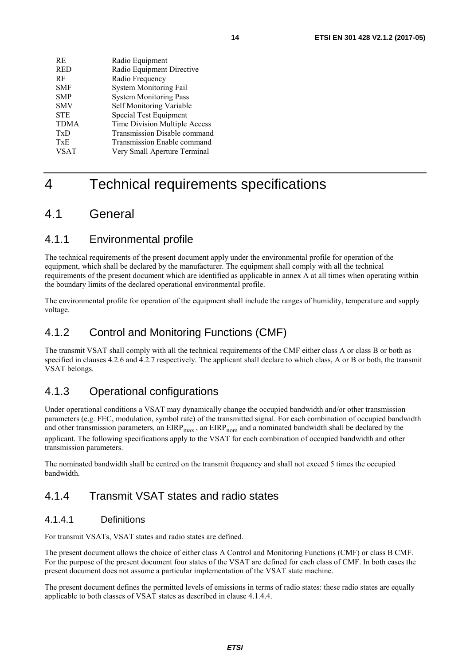<span id="page-13-0"></span>

| RE.         | Radio Equipment               |
|-------------|-------------------------------|
| <b>RED</b>  | Radio Equipment Directive     |
| RF          | Radio Frequency               |
| <b>SMF</b>  | <b>System Monitoring Fail</b> |
| <b>SMP</b>  | <b>System Monitoring Pass</b> |
| <b>SMV</b>  | Self Monitoring Variable      |
| <b>STE</b>  | Special Test Equipment        |
| <b>TDMA</b> | Time Division Multiple Access |
| TxD         | Transmission Disable command  |
| TxE         | Transmission Enable command   |
| <b>VSAT</b> | Very Small Aperture Terminal  |

## 4 Technical requirements specifications

## 4.1 General

## 4.1.1 Environmental profile

The technical requirements of the present document apply under the environmental profile for operation of the equipment, which shall be declared by the manufacturer. The equipment shall comply with all the technical requirements of the present document which are identified as applicable in annex A at all times when operating within the boundary limits of the declared operational environmental profile.

The environmental profile for operation of the equipment shall include the ranges of humidity, temperature and supply voltage.

## 4.1.2 Control and Monitoring Functions (CMF)

The transmit VSAT shall comply with all the technical requirements of the CMF either class A or class B or both as specified in clauses 4.2.6 and 4.2.7 respectively. The applicant shall declare to which class, A or B or both, the transmit VSAT belongs.

## 4.1.3 Operational configurations

Under operational conditions a VSAT may dynamically change the occupied bandwidth and/or other transmission parameters (e.g. FEC, modulation, symbol rate) of the transmitted signal. For each combination of occupied bandwidth and other transmission parameters, an  $EIRP<sub>max</sub>$ , an  $EIRP<sub>nom</sub>$  and a nominated bandwidth shall be declared by the applicant. The following specifications apply to the VSAT for each combination of occupied bandwidth and other transmission parameters.

The nominated bandwidth shall be centred on the transmit frequency and shall not exceed 5 times the occupied bandwidth.

## 4.1.4 Transmit VSAT states and radio states

### 4.1.4.1 Definitions

For transmit VSATs, VSAT states and radio states are defined.

The present document allows the choice of either class A Control and Monitoring Functions (CMF) or class B CMF. For the purpose of the present document four states of the VSAT are defined for each class of CMF. In both cases the present document does not assume a particular implementation of the VSAT state machine.

The present document defines the permitted levels of emissions in terms of radio states: these radio states are equally applicable to both classes of VSAT states as described in clause 4.1.4.4.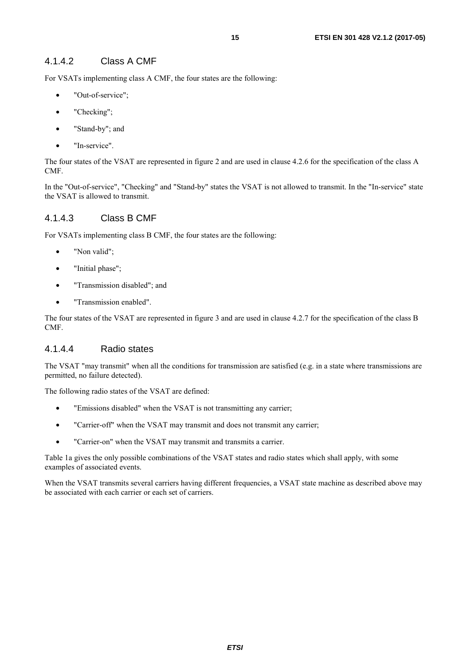#### <span id="page-14-0"></span>4.1.4.2 Class A CMF

For VSATs implementing class A CMF, the four states are the following:

- "Out-of-service";
- "Checking";
- "Stand-by"; and
- "In-service".

The four states of the VSAT are represented in figure 2 and are used in clause 4.2.6 for the specification of the class A CMF.

In the "Out-of-service", "Checking" and "Stand-by" states the VSAT is not allowed to transmit. In the "In-service" state the VSAT is allowed to transmit.

#### 4.1.4.3 Class B CMF

For VSATs implementing class B CMF, the four states are the following:

- "Non valid";
- "Initial phase";
- "Transmission disabled"; and
- "Transmission enabled".

The four states of the VSAT are represented in figure 3 and are used in clause 4.2.7 for the specification of the class B CMF.

#### 4.1.4.4 Radio states

The VSAT "may transmit" when all the conditions for transmission are satisfied (e.g. in a state where transmissions are permitted, no failure detected).

The following radio states of the VSAT are defined:

- "Emissions disabled" when the VSAT is not transmitting any carrier;
- "Carrier-off" when the VSAT may transmit and does not transmit any carrier;
- "Carrier-on" when the VSAT may transmit and transmits a carrier.

Table 1a gives the only possible combinations of the VSAT states and radio states which shall apply, with some examples of associated events.

When the VSAT transmits several carriers having different frequencies, a VSAT state machine as described above may be associated with each carrier or each set of carriers.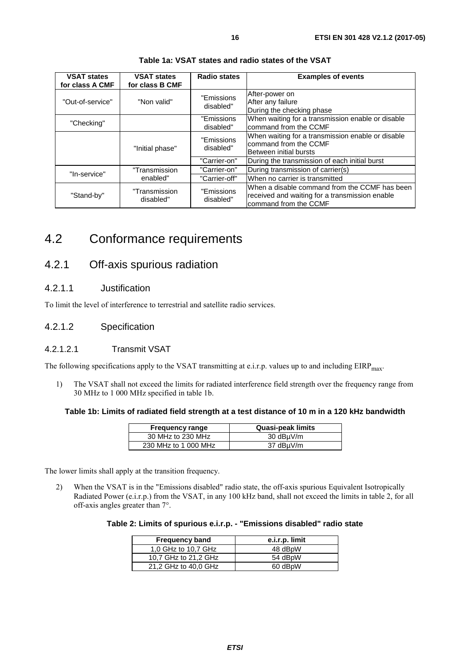<span id="page-15-0"></span>

| <b>VSAT states</b><br>for class A CMF | <b>VSAT states</b><br>for class B CMF | Radio states            | <b>Examples of events</b>                                                                                                |
|---------------------------------------|---------------------------------------|-------------------------|--------------------------------------------------------------------------------------------------------------------------|
| "Out-of-service"                      | "Non valid"                           | "Emissions<br>disabled" | After-power on<br>After any failure<br>During the checking phase                                                         |
| "Checking"                            |                                       | "Emissions<br>disabled" | When waiting for a transmission enable or disable<br>command from the CCMF                                               |
|                                       | "Initial phase"                       | "Emissions<br>disabled" | When waiting for a transmission enable or disable<br>command from the CCMF<br>Between initial bursts                     |
|                                       |                                       | "Carrier-on"            | During the transmission of each initial burst                                                                            |
| "In-service"                          | "Transmission                         | "Carrier-on"            | During transmission of carrier(s)                                                                                        |
|                                       | enabled"                              | "Carrier-off"           | When no carrier is transmitted                                                                                           |
| "Stand-by"                            | "Transmission<br>disabled"            | "Emissions<br>disabled" | When a disable command from the CCMF has been<br>received and waiting for a transmission enable<br>command from the CCMF |

**Table 1a: VSAT states and radio states of the VSAT** 

## 4.2 Conformance requirements

## 4.2.1 Off-axis spurious radiation

#### 4.2.1.1 Justification

To limit the level of interference to terrestrial and satellite radio services.

#### 4.2.1.2 Specification

#### 4.2.1.2.1 Transmit VSAT

The following specifications apply to the VSAT transmitting at e.i.r.p. values up to and including  $EIRP<sub>max</sub>$ .

1) The VSAT shall not exceed the limits for radiated interference field strength over the frequency range from 30 MHz to 1 000 MHz specified in table 1b.

#### **Table 1b: Limits of radiated field strength at a test distance of 10 m in a 120 kHz bandwidth**

| <b>Frequency range</b> | Quasi-peak limits |
|------------------------|-------------------|
| 30 MHz to 230 MHz      | 30 dBµV/m         |
| 230 MHz to 1 000 MHz   | 37 dBµV/m         |

The lower limits shall apply at the transition frequency.

2) When the VSAT is in the "Emissions disabled" radio state, the off-axis spurious Equivalent Isotropically Radiated Power (e.i.r.p.) from the VSAT, in any 100 kHz band, shall not exceed the limits in table 2, for all off-axis angles greater than 7°.

| Table 2: Limits of spurious e.i.r.p. - "Emissions disabled" radio state |  |  |  |
|-------------------------------------------------------------------------|--|--|--|
|-------------------------------------------------------------------------|--|--|--|

| <b>Frequency band</b> | e.i.r.p. limit |
|-----------------------|----------------|
| 1,0 GHz to 10,7 GHz   | 48 dBpW        |
| 10.7 GHz to 21.2 GHz  | 54 dBpW        |
| 21,2 GHz to 40,0 GHz  | 60 dBpW        |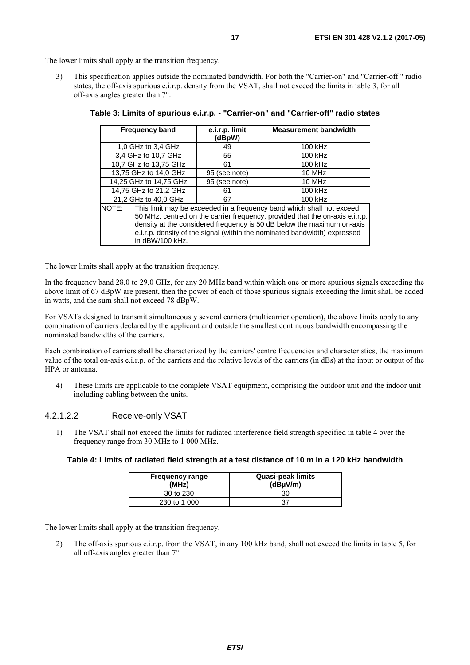<span id="page-16-0"></span>The lower limits shall apply at the transition frequency.

3) This specification applies outside the nominated bandwidth. For both the "Carrier-on" and "Carrier-off " radio states, the off-axis spurious e.i.r.p. density from the VSAT, shall not exceed the limits in table 3, for all off-axis angles greater than 7°.

|                                                                                | <b>Frequency band</b> | e.i.r.p. limit<br>(dBpW) | <b>Measurement bandwidth</b>                                                 |
|--------------------------------------------------------------------------------|-----------------------|--------------------------|------------------------------------------------------------------------------|
| 1,0 GHz to 3,4 GHz                                                             |                       | 49                       | 100 kHz                                                                      |
|                                                                                | 3,4 GHz to 10,7 GHz   | 55                       | 100 kHz                                                                      |
|                                                                                | 10,7 GHz to 13,75 GHz | 61                       | 100 kHz                                                                      |
|                                                                                | 13,75 GHz to 14,0 GHz | 95 (see note)            | 10 MHz                                                                       |
| 14,25 GHz to 14,75 GHz                                                         |                       | 95 (see note)            | 10 MHz                                                                       |
| 14,75 GHz to 21,2 GHz                                                          |                       | 61                       | 100 kHz                                                                      |
| 21,2 GHz to 40,0 GHz                                                           |                       | 67                       | 100 kHz                                                                      |
| This limit may be exceeded in a frequency band which shall not exceed<br>NOTE: |                       |                          |                                                                              |
|                                                                                |                       |                          | 50 MHz, centred on the carrier frequency, provided that the on-axis e.i.r.p. |
|                                                                                |                       |                          | density at the considered frequency is 50 dB below the maximum on-axis       |
|                                                                                |                       |                          | e.i.r.p. density of the signal (within the nominated bandwidth) expressed    |
|                                                                                | in dBW/100 kHz.       |                          |                                                                              |

| Table 3: Limits of spurious e.i.r.p. - "Carrier-on" and "Carrier-off" radio states |  |  |  |  |
|------------------------------------------------------------------------------------|--|--|--|--|
|------------------------------------------------------------------------------------|--|--|--|--|

The lower limits shall apply at the transition frequency.

In the frequency band 28,0 to 29,0 GHz, for any 20 MHz band within which one or more spurious signals exceeding the above limit of 67 dBpW are present, then the power of each of those spurious signals exceeding the limit shall be added in watts, and the sum shall not exceed 78 dBpW.

For VSATs designed to transmit simultaneously several carriers (multicarrier operation), the above limits apply to any combination of carriers declared by the applicant and outside the smallest continuous bandwidth encompassing the nominated bandwidths of the carriers.

Each combination of carriers shall be characterized by the carriers' centre frequencies and characteristics, the maximum value of the total on-axis e.i.r.p. of the carriers and the relative levels of the carriers (in dBs) at the input or output of the HPA or antenna.

4) These limits are applicable to the complete VSAT equipment, comprising the outdoor unit and the indoor unit including cabling between the units.

#### 4.2.1.2.2 Receive-only VSAT

1) The VSAT shall not exceed the limits for radiated interference field strength specified in table 4 over the frequency range from 30 MHz to 1 000 MHz.

#### **Table 4: Limits of radiated field strength at a test distance of 10 m in a 120 kHz bandwidth**

| <b>Frequency range</b><br>(MHz) | <b>Quasi-peak limits</b><br>$(dB\mu V/m)$ |
|---------------------------------|-------------------------------------------|
| 30 to 230                       | 30                                        |
| 230 to 1 000                    | 37                                        |

The lower limits shall apply at the transition frequency.

2) The off-axis spurious e.i.r.p. from the VSAT, in any 100 kHz band, shall not exceed the limits in table 5, for all off-axis angles greater than 7°.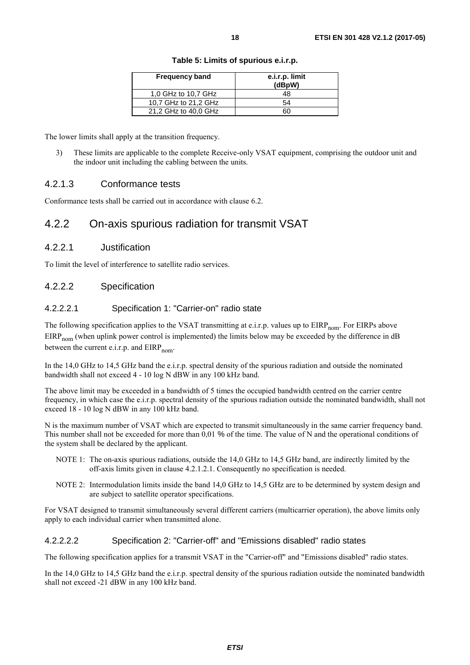| <b>Frequency band</b> | e.i.r.p. limit<br>(dBpW) |
|-----------------------|--------------------------|
| 1,0 GHz to 10,7 GHz   | 48                       |
| 10.7 GHz to 21.2 GHz  | 54                       |
| 21,2 GHz to 40,0 GHz  |                          |

#### **Table 5: Limits of spurious e.i.r.p.**

<span id="page-17-0"></span>The lower limits shall apply at the transition frequency.

3) These limits are applicable to the complete Receive-only VSAT equipment, comprising the outdoor unit and the indoor unit including the cabling between the units.

#### 4.2.1.3 Conformance tests

Conformance tests shall be carried out in accordance with clause 6.2.

## 4.2.2 On-axis spurious radiation for transmit VSAT

#### 4.2.2.1 Justification

To limit the level of interference to satellite radio services.

#### 4.2.2.2 Specification

#### 4.2.2.2.1 Specification 1: "Carrier-on" radio state

The following specification applies to the VSAT transmitting at e.i.r.p. values up to  $EIRP_{nom}$ . For EIRPs above  $EIRP_{nom}$  (when uplink power control is implemented) the limits below may be exceeded by the difference in dB between the current e.i.r.p. and  $EIRP_{nom}$ .

In the 14,0 GHz to 14,5 GHz band the e.i.r.p. spectral density of the spurious radiation and outside the nominated bandwidth shall not exceed 4 - 10 log N dBW in any 100 kHz band.

The above limit may be exceeded in a bandwidth of 5 times the occupied bandwidth centred on the carrier centre frequency, in which case the e.i.r.p. spectral density of the spurious radiation outside the nominated bandwidth, shall not exceed 18 - 10 log N dBW in any 100 kHz band.

N is the maximum number of VSAT which are expected to transmit simultaneously in the same carrier frequency band. This number shall not be exceeded for more than 0,01 % of the time. The value of N and the operational conditions of the system shall be declared by the applicant.

- NOTE 1: The on-axis spurious radiations, outside the 14,0 GHz to 14,5 GHz band, are indirectly limited by the off-axis limits given in clause 4.2.1.2.1. Consequently no specification is needed.
- NOTE 2: Intermodulation limits inside the band 14,0 GHz to 14,5 GHz are to be determined by system design and are subject to satellite operator specifications.

For VSAT designed to transmit simultaneously several different carriers (multicarrier operation), the above limits only apply to each individual carrier when transmitted alone.

#### 4.2.2.2.2 Specification 2: "Carrier-off" and "Emissions disabled" radio states

The following specification applies for a transmit VSAT in the "Carrier-off" and "Emissions disabled" radio states.

In the 14,0 GHz to 14,5 GHz band the e.i.r.p. spectral density of the spurious radiation outside the nominated bandwidth shall not exceed -21 dBW in any 100 kHz band.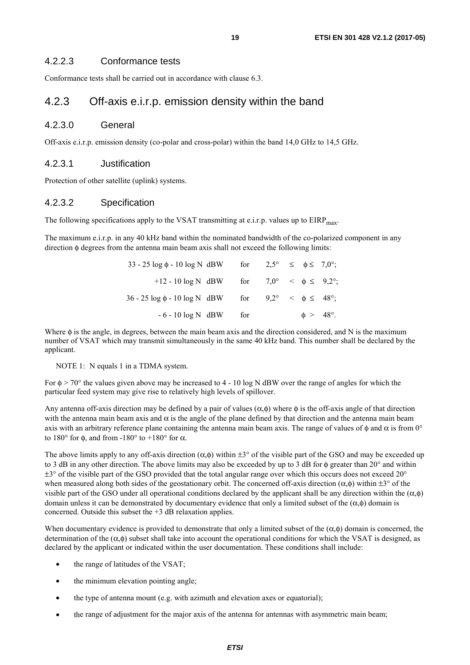#### <span id="page-18-0"></span>4.2.2.3 Conformance tests

Conformance tests shall be carried out in accordance with clause 6.3.

## 4.2.3 Off-axis e.i.r.p. emission density within the band

#### 4.2.3.0 General

Off-axis e.i.r.p. emission density (co-polar and cross-polar) within the band 14,0 GHz to 14,5 GHz.

#### 4.2.3.1 Justification

Protection of other satellite (uplink) systems.

#### 4.2.3.2 Specification

The following specifications apply to the VSAT transmitting at e.i.r.p. values up to  $EIRP<sub>max</sub>$ .

The maximum e.i.r.p. in any 40 kHz band within the nominated bandwidth of the co-polarized component in any direction φ degrees from the antenna main beam axis shall not exceed the following limits:

| $33 - 25 \log \phi - 10 \log N$ dBW for $2.5^{\circ} \le \phi \le 7.0^{\circ}$ ; |  |  |                     |  |
|----------------------------------------------------------------------------------|--|--|---------------------|--|
| +12 - 10 log N dBW for $7.0^{\circ} < \phi \le 9.2^{\circ}$ ;                    |  |  |                     |  |
| $36 - 25 \log \phi - 10 \log N$ dBW for $9.2^{\circ} < \phi \leq 48^{\circ}$ ;   |  |  |                     |  |
| $-6 - 10 \log N$ dBW for                                                         |  |  | $\phi > 48^\circ$ . |  |

Where  $\phi$  is the angle, in degrees, between the main beam axis and the direction considered, and N is the maximum number of VSAT which may transmit simultaneously in the same 40 kHz band. This number shall be declared by the applicant.

#### NOTE 1: N equals 1 in a TDMA system.

For  $\phi$  > 70° the values given above may be increased to 4 - 10 log N dBW over the range of angles for which the particular feed system may give rise to relatively high levels of spillover.

Any antenna off-axis direction may be defined by a pair of values  $(\alpha, \phi)$  where  $\phi$  is the off-axis angle of that direction with the antenna main beam axis and  $\alpha$  is the angle of the plane defined by that direction and the antenna main beam axis with an arbitrary reference plane containing the antenna main beam axis. The range of values of  $\phi$  and  $\alpha$  is from 0° to 180 $\degree$  for φ, and from -180 $\degree$  to +180 $\degree$  for α.

The above limits apply to any off-axis direction  $(\alpha, \phi)$  within  $\pm 3^{\circ}$  of the visible part of the GSO and may be exceeded up to 3 dB in any other direction. The above limits may also be exceeded by up to 3 dB for φ greater than 20° and within  $\pm$ 3° of the visible part of the GSO provided that the total angular range over which this occurs does not exceed 20° when measured along both sides of the geostationary orbit. The concerned off-axis direction  $(\alpha, \phi)$  within  $\pm 3^{\circ}$  of the visible part of the GSO under all operational conditions declared by the applicant shall be any direction within the (α,φ) domain unless it can be demonstrated by documentary evidence that only a limited subset of the (α,φ) domain is concerned. Outside this subset the +3 dB relaxation applies.

When documentary evidence is provided to demonstrate that only a limited subset of the  $(\alpha, \phi)$  domain is concerned, the determination of the (α,φ) subset shall take into account the operational conditions for which the VSAT is designed, as declared by the applicant or indicated within the user documentation. These conditions shall include:

- the range of latitudes of the VSAT;
- the minimum elevation pointing angle;
- the type of antenna mount (e.g. with azimuth and elevation axes or equatorial);
- the range of adjustment for the major axis of the antenna for antennas with asymmetric main beam;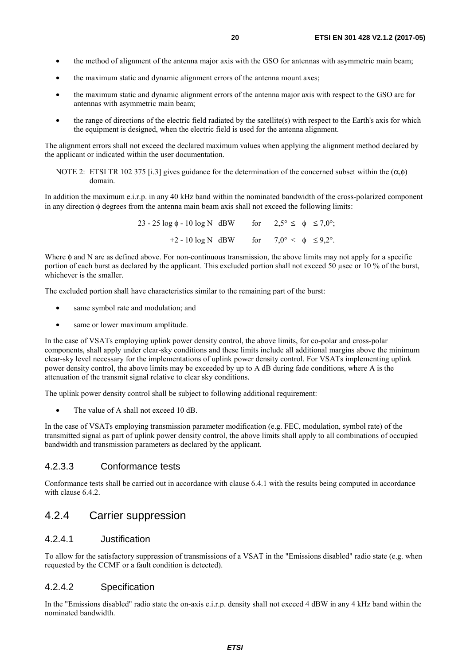- <span id="page-19-0"></span>• the method of alignment of the antenna major axis with the GSO for antennas with asymmetric main beam;
- the maximum static and dynamic alignment errors of the antenna mount axes;
- the maximum static and dynamic alignment errors of the antenna major axis with respect to the GSO arc for antennas with asymmetric main beam;
- the range of directions of the electric field radiated by the satellite(s) with respect to the Earth's axis for which the equipment is designed, when the electric field is used for the antenna alignment.

The alignment errors shall not exceed the declared maximum values when applying the alignment method declared by the applicant or indicated within the user documentation.

NOTE 2: ETSI TR 102 375 [\[i.3](#page-9-0)] gives guidance for the determination of the concerned subset within the (α,φ) domain.

In addition the maximum e.i.r.p. in any 40 kHz band within the nominated bandwidth of the cross-polarized component in any direction φ degrees from the antenna main beam axis shall not exceed the following limits:

> 23 - 25 log  $\phi$  - 10 log N dBW for  $2.5^{\circ} \leq \phi \leq 7.0^{\circ}$ ; +2 - 10 log N dBW for  $7.0^{\circ} < \phi \le 9.2^{\circ}$ .

Where φ and N are as defined above. For non-continuous transmission, the above limits may not apply for a specific portion of each burst as declared by the applicant. This excluded portion shall not exceed 50 usec or 10 % of the burst, whichever is the smaller.

The excluded portion shall have characteristics similar to the remaining part of the burst:

- same symbol rate and modulation; and
- same or lower maximum amplitude.

In the case of VSATs employing uplink power density control, the above limits, for co-polar and cross-polar components, shall apply under clear-sky conditions and these limits include all additional margins above the minimum clear-sky level necessary for the implementations of uplink power density control. For VSATs implementing uplink power density control, the above limits may be exceeded by up to A dB during fade conditions, where A is the attenuation of the transmit signal relative to clear sky conditions.

The uplink power density control shall be subject to following additional requirement:

The value of A shall not exceed 10 dB.

In the case of VSATs employing transmission parameter modification (e.g. FEC, modulation, symbol rate) of the transmitted signal as part of uplink power density control, the above limits shall apply to all combinations of occupied bandwidth and transmission parameters as declared by the applicant.

#### 4.2.3.3 Conformance tests

Conformance tests shall be carried out in accordance with clause 6.4.1 with the results being computed in accordance with clause 6.4.2.

### 4.2.4 Carrier suppression

#### 4.2.4.1 Justification

To allow for the satisfactory suppression of transmissions of a VSAT in the "Emissions disabled" radio state (e.g. when requested by the CCMF or a fault condition is detected).

#### 4.2.4.2 Specification

In the "Emissions disabled" radio state the on-axis e.i.r.p. density shall not exceed 4 dBW in any 4 kHz band within the nominated bandwidth.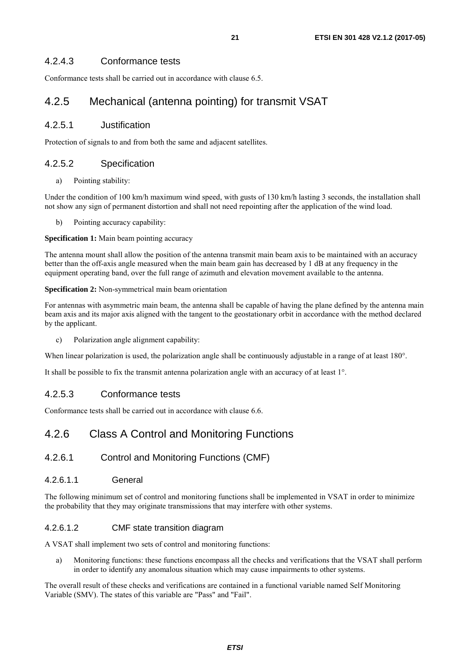#### <span id="page-20-0"></span>4.2.4.3 Conformance tests

Conformance tests shall be carried out in accordance with clause 6.5.

## 4.2.5 Mechanical (antenna pointing) for transmit VSAT

#### 4.2.5.1 Justification

Protection of signals to and from both the same and adjacent satellites.

#### 4.2.5.2 Specification

a) Pointing stability:

Under the condition of 100 km/h maximum wind speed, with gusts of 130 km/h lasting 3 seconds, the installation shall not show any sign of permanent distortion and shall not need repointing after the application of the wind load.

b) Pointing accuracy capability:

#### **Specification 1:** Main beam pointing accuracy

The antenna mount shall allow the position of the antenna transmit main beam axis to be maintained with an accuracy better than the off-axis angle measured when the main beam gain has decreased by 1 dB at any frequency in the equipment operating band, over the full range of azimuth and elevation movement available to the antenna.

#### **Specification 2:** Non-symmetrical main beam orientation

For antennas with asymmetric main beam, the antenna shall be capable of having the plane defined by the antenna main beam axis and its major axis aligned with the tangent to the geostationary orbit in accordance with the method declared by the applicant.

c) Polarization angle alignment capability:

When linear polarization is used, the polarization angle shall be continuously adjustable in a range of at least 180°.

It shall be possible to fix the transmit antenna polarization angle with an accuracy of at least 1°.

#### 4.2.5.3 Conformance tests

Conformance tests shall be carried out in accordance with clause 6.6.

## 4.2.6 Class A Control and Monitoring Functions

#### 4.2.6.1 Control and Monitoring Functions (CMF)

#### 4.2.6.1.1 General

The following minimum set of control and monitoring functions shall be implemented in VSAT in order to minimize the probability that they may originate transmissions that may interfere with other systems.

#### 4.2.6.1.2 CMF state transition diagram

A VSAT shall implement two sets of control and monitoring functions:

a) Monitoring functions: these functions encompass all the checks and verifications that the VSAT shall perform in order to identify any anomalous situation which may cause impairments to other systems.

The overall result of these checks and verifications are contained in a functional variable named Self Monitoring Variable (SMV). The states of this variable are "Pass" and "Fail".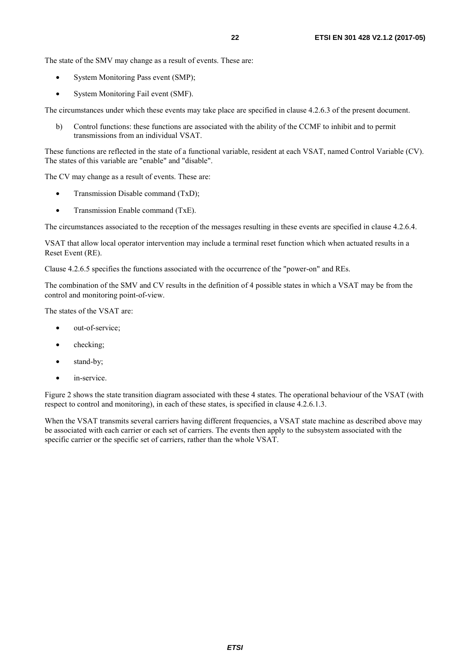The state of the SMV may change as a result of events. These are:

- System Monitoring Pass event (SMP);
- System Monitoring Fail event (SMF).

The circumstances under which these events may take place are specified in clause 4.2.6.3 of the present document.

b) Control functions: these functions are associated with the ability of the CCMF to inhibit and to permit transmissions from an individual VSAT.

These functions are reflected in the state of a functional variable, resident at each VSAT, named Control Variable (CV). The states of this variable are "enable" and "disable".

The CV may change as a result of events. These are:

- Transmission Disable command (TxD);
- Transmission Enable command (TxE).

The circumstances associated to the reception of the messages resulting in these events are specified in clause 4.2.6.4.

VSAT that allow local operator intervention may include a terminal reset function which when actuated results in a Reset Event (RE).

Clause 4.2.6.5 specifies the functions associated with the occurrence of the "power-on" and REs.

The combination of the SMV and CV results in the definition of 4 possible states in which a VSAT may be from the control and monitoring point-of-view.

The states of the VSAT are:

- out-of-service:
- checking;
- stand-by;
- in-service.

Figure 2 shows the state transition diagram associated with these 4 states. The operational behaviour of the VSAT (with respect to control and monitoring), in each of these states, is specified in clause 4.2.6.1.3.

When the VSAT transmits several carriers having different frequencies, a VSAT state machine as described above may be associated with each carrier or each set of carriers. The events then apply to the subsystem associated with the specific carrier or the specific set of carriers, rather than the whole VSAT.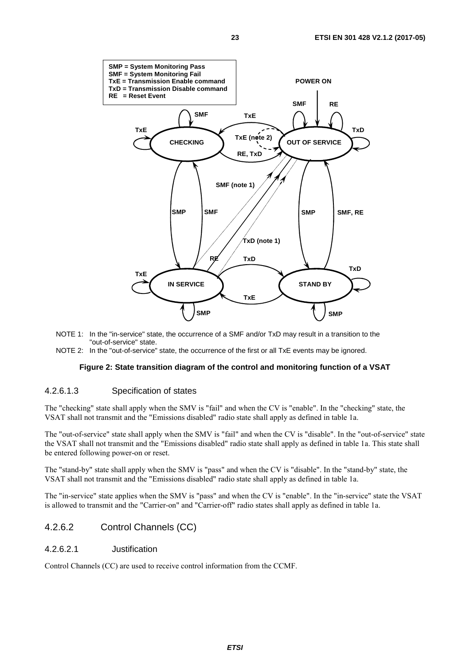<span id="page-22-0"></span>

- NOTE 1: In the "in-service" state, the occurrence of a SMF and/or TxD may result in a transition to the "out-of-service" state.
- NOTE 2: In the "out-of-service" state, the occurrence of the first or all TxE events may be ignored.

#### **Figure 2: State transition diagram of the control and monitoring function of a VSAT**

#### 4.2.6.1.3 Specification of states

The "checking" state shall apply when the SMV is "fail" and when the CV is "enable". In the "checking" state, the VSAT shall not transmit and the "Emissions disabled" radio state shall apply as defined in table 1a.

The "out-of-service" state shall apply when the SMV is "fail" and when the CV is "disable". In the "out-of-service" state the VSAT shall not transmit and the "Emissions disabled" radio state shall apply as defined in table 1a. This state shall be entered following power-on or reset.

The "stand-by" state shall apply when the SMV is "pass" and when the CV is "disable". In the "stand-by" state, the VSAT shall not transmit and the "Emissions disabled" radio state shall apply as defined in table 1a.

The "in-service" state applies when the SMV is "pass" and when the CV is "enable". In the "in-service" state the VSAT is allowed to transmit and the "Carrier-on" and "Carrier-off" radio states shall apply as defined in table 1a.

#### 4.2.6.2 Control Channels (CC)

#### 4.2.6.2.1 Justification

Control Channels (CC) are used to receive control information from the CCMF.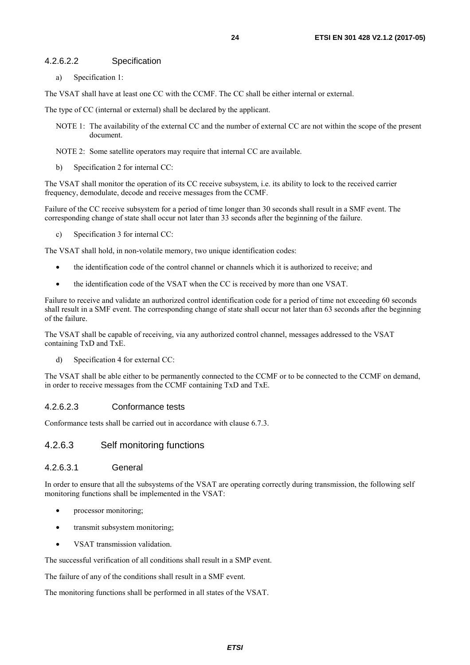#### <span id="page-23-0"></span>4.2.6.2.2 Specification

a) Specification 1:

The VSAT shall have at least one CC with the CCMF. The CC shall be either internal or external.

The type of CC (internal or external) shall be declared by the applicant.

- NOTE 1: The availability of the external CC and the number of external CC are not within the scope of the present document.
- NOTE 2: Some satellite operators may require that internal CC are available.
- b) Specification 2 for internal CC:

The VSAT shall monitor the operation of its CC receive subsystem, i.e. its ability to lock to the received carrier frequency, demodulate, decode and receive messages from the CCMF.

Failure of the CC receive subsystem for a period of time longer than 30 seconds shall result in a SMF event. The corresponding change of state shall occur not later than 33 seconds after the beginning of the failure.

c) Specification 3 for internal CC:

The VSAT shall hold, in non-volatile memory, two unique identification codes:

- the identification code of the control channel or channels which it is authorized to receive; and
- the identification code of the VSAT when the CC is received by more than one VSAT.

Failure to receive and validate an authorized control identification code for a period of time not exceeding 60 seconds shall result in a SMF event. The corresponding change of state shall occur not later than 63 seconds after the beginning of the failure.

The VSAT shall be capable of receiving, via any authorized control channel, messages addressed to the VSAT containing TxD and TxE.

d) Specification 4 for external CC:

The VSAT shall be able either to be permanently connected to the CCMF or to be connected to the CCMF on demand, in order to receive messages from the CCMF containing TxD and TxE.

#### 4.2.6.2.3 Conformance tests

Conformance tests shall be carried out in accordance with clause 6.7.3.

#### 4.2.6.3 Self monitoring functions

#### 4.2.6.3.1 General

In order to ensure that all the subsystems of the VSAT are operating correctly during transmission, the following self monitoring functions shall be implemented in the VSAT:

- processor monitoring;
- transmit subsystem monitoring;
- VSAT transmission validation.

The successful verification of all conditions shall result in a SMP event.

The failure of any of the conditions shall result in a SMF event.

The monitoring functions shall be performed in all states of the VSAT.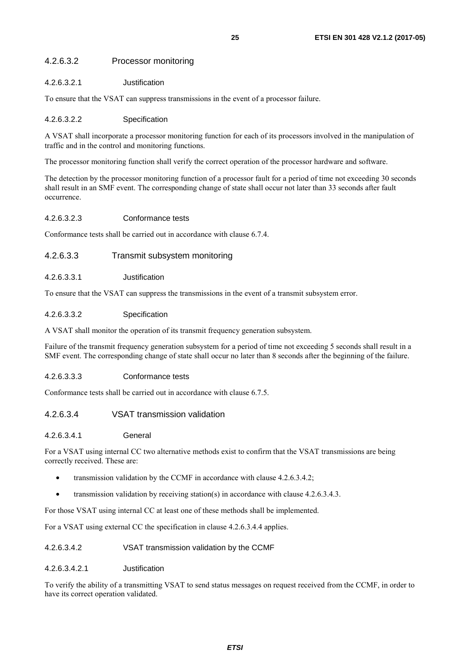#### <span id="page-24-0"></span>4.2.6.3.2 Processor monitoring

#### 4.2.6.3.2.1 Justification

To ensure that the VSAT can suppress transmissions in the event of a processor failure.

#### 4.2.6.3.2.2 Specification

A VSAT shall incorporate a processor monitoring function for each of its processors involved in the manipulation of traffic and in the control and monitoring functions.

The processor monitoring function shall verify the correct operation of the processor hardware and software.

The detection by the processor monitoring function of a processor fault for a period of time not exceeding 30 seconds shall result in an SMF event. The corresponding change of state shall occur not later than 33 seconds after fault occurrence.

#### 4.2.6.3.2.3 Conformance tests

Conformance tests shall be carried out in accordance with clause 6.7.4.

#### 4.2.6.3.3 Transmit subsystem monitoring

#### 4.2.6.3.3.1 Justification

To ensure that the VSAT can suppress the transmissions in the event of a transmit subsystem error.

#### 4.2.6.3.3.2 Specification

A VSAT shall monitor the operation of its transmit frequency generation subsystem.

Failure of the transmit frequency generation subsystem for a period of time not exceeding 5 seconds shall result in a SMF event. The corresponding change of state shall occur no later than 8 seconds after the beginning of the failure.

#### 4.2.6.3.3.3 Conformance tests

Conformance tests shall be carried out in accordance with clause 6.7.5.

#### 4.2.6.3.4 VSAT transmission validation

#### 4.2.6.3.4.1 General

For a VSAT using internal CC two alternative methods exist to confirm that the VSAT transmissions are being correctly received. These are:

- transmission validation by the CCMF in accordance with clause 4.2.6.3.4.2;
- transmission validation by receiving station(s) in accordance with clause 4.2.6.3.4.3.

For those VSAT using internal CC at least one of these methods shall be implemented.

For a VSAT using external CC the specification in clause 4.2.6.3.4.4 applies.

#### 4.2.6.3.4.2 VSAT transmission validation by the CCMF

#### 4.2.6.3.4.2.1 Justification

To verify the ability of a transmitting VSAT to send status messages on request received from the CCMF, in order to have its correct operation validated.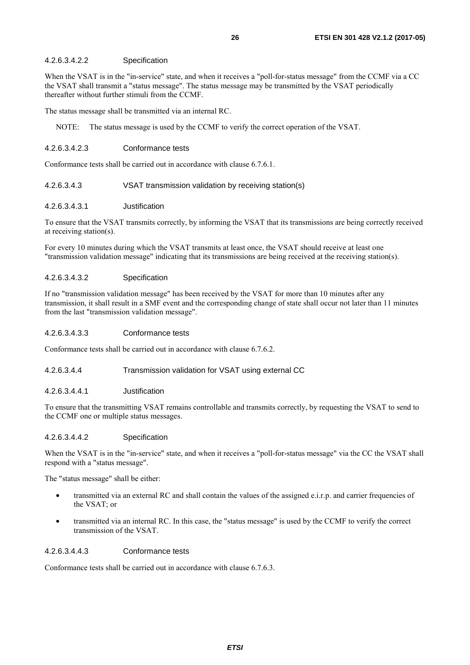#### 4.2.6.3.4.2.2 Specification

When the VSAT is in the "in-service" state, and when it receives a "poll-for-status message" from the CCMF via a CC the VSAT shall transmit a "status message". The status message may be transmitted by the VSAT periodically thereafter without further stimuli from the CCMF.

The status message shall be transmitted via an internal RC.

NOTE: The status message is used by the CCMF to verify the correct operation of the VSAT.

#### 4.2.6.3.4.2.3 Conformance tests

Conformance tests shall be carried out in accordance with clause 6.7.6.1.

#### 4.2.6.3.4.3 VSAT transmission validation by receiving station(s)

#### 4.2.6.3.4.3.1 Justification

To ensure that the VSAT transmits correctly, by informing the VSAT that its transmissions are being correctly received at receiving station(s).

For every 10 minutes during which the VSAT transmits at least once, the VSAT should receive at least one "transmission validation message" indicating that its transmissions are being received at the receiving station(s).

#### 4.2.6.3.4.3.2 Specification

If no "transmission validation message" has been received by the VSAT for more than 10 minutes after any transmission, it shall result in a SMF event and the corresponding change of state shall occur not later than 11 minutes from the last "transmission validation message".

#### 4.2.6.3.4.3.3 Conformance tests

Conformance tests shall be carried out in accordance with clause 6.7.6.2.

#### 4.2.6.3.4.4 Transmission validation for VSAT using external CC

#### 4.2.6.3.4.4.1 Justification

To ensure that the transmitting VSAT remains controllable and transmits correctly, by requesting the VSAT to send to the CCMF one or multiple status messages.

#### 4.2.6.3.4.4.2 Specification

When the VSAT is in the "in-service" state, and when it receives a "poll-for-status message" via the CC the VSAT shall respond with a "status message".

The "status message" shall be either:

- transmitted via an external RC and shall contain the values of the assigned e.i.r.p. and carrier frequencies of the VSAT; or
- transmitted via an internal RC. In this case, the "status message" is used by the CCMF to verify the correct transmission of the VSAT.

#### 4.2.6.3.4.4.3 Conformance tests

Conformance tests shall be carried out in accordance with clause 6.7.6.3.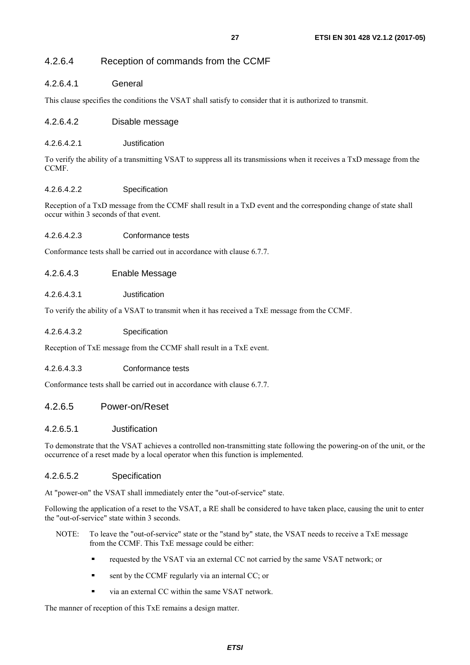#### <span id="page-26-0"></span>4.2.6.4.1 General

This clause specifies the conditions the VSAT shall satisfy to consider that it is authorized to transmit.

#### 4.2.6.4.2 Disable message

#### 4.2.6.4.2.1 Justification

To verify the ability of a transmitting VSAT to suppress all its transmissions when it receives a TxD message from the CCMF.

#### 4.2.6.4.2.2 Specification

Reception of a TxD message from the CCMF shall result in a TxD event and the corresponding change of state shall occur within 3 seconds of that event.

#### 4.2.6.4.2.3 Conformance tests

Conformance tests shall be carried out in accordance with clause 6.7.7.

#### 4.2.6.4.3 Enable Message

#### 4.2.6.4.3.1 Justification

To verify the ability of a VSAT to transmit when it has received a TxE message from the CCMF.

#### 4.2.6.4.3.2 Specification

Reception of TxE message from the CCMF shall result in a TxE event.

#### 4.2.6.4.3.3 Conformance tests

Conformance tests shall be carried out in accordance with clause 6.7.7.

#### 4.2.6.5 Power-on/Reset

#### 4.2.6.5.1 Justification

To demonstrate that the VSAT achieves a controlled non-transmitting state following the powering-on of the unit, or the occurrence of a reset made by a local operator when this function is implemented.

#### 4.2.6.5.2 Specification

At "power-on" the VSAT shall immediately enter the "out-of-service" state.

Following the application of a reset to the VSAT, a RE shall be considered to have taken place, causing the unit to enter the "out-of-service" state within 3 seconds.

- NOTE: To leave the "out-of-service" state or the "stand by" state, the VSAT needs to receive a TxE message from the CCMF. This TxE message could be either:
	- requested by the VSAT via an external CC not carried by the same VSAT network; or<br>sent by the CCME requierly via an internal CC: or
	- sent by the CCMF regularly via an internal CC; or
	- via an external CC within the same VSAT network.

The manner of reception of this TxE remains a design matter.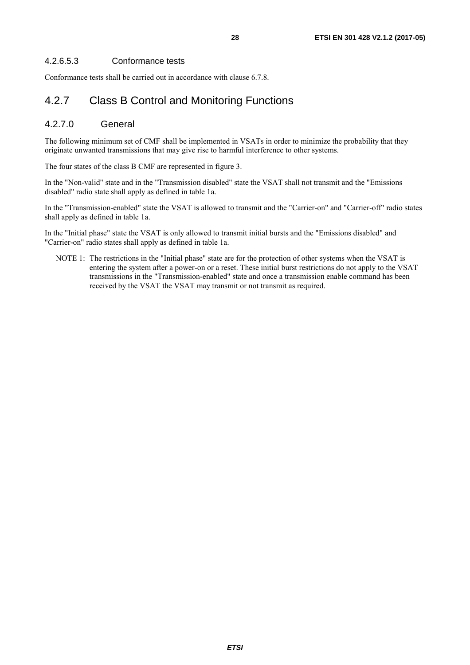#### <span id="page-27-0"></span>4.2.6.5.3 Conformance tests

Conformance tests shall be carried out in accordance with clause 6.7.8.

## 4.2.7 Class B Control and Monitoring Functions

#### 4.2.7.0 General

The following minimum set of CMF shall be implemented in VSATs in order to minimize the probability that they originate unwanted transmissions that may give rise to harmful interference to other systems.

The four states of the class B CMF are represented in figure 3.

In the "Non-valid" state and in the "Transmission disabled" state the VSAT shall not transmit and the "Emissions disabled" radio state shall apply as defined in table 1a.

In the "Transmission-enabled" state the VSAT is allowed to transmit and the "Carrier-on" and "Carrier-off" radio states shall apply as defined in table 1a.

In the "Initial phase" state the VSAT is only allowed to transmit initial bursts and the "Emissions disabled" and "Carrier-on" radio states shall apply as defined in table 1a.

NOTE 1: The restrictions in the "Initial phase" state are for the protection of other systems when the VSAT is entering the system after a power-on or a reset. These initial burst restrictions do not apply to the VSAT transmissions in the "Transmission-enabled" state and once a transmission enable command has been received by the VSAT the VSAT may transmit or not transmit as required.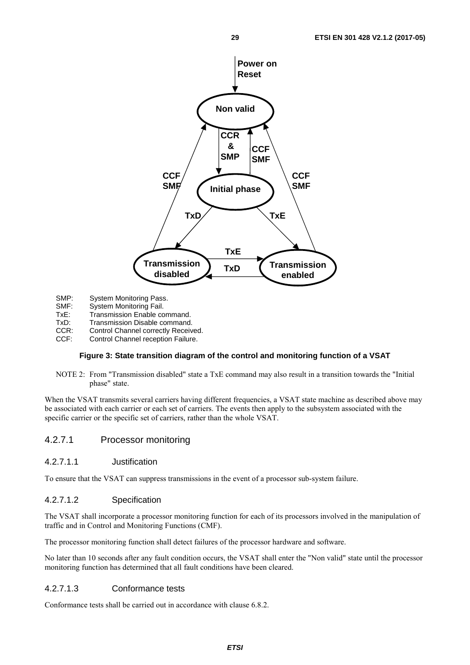<span id="page-28-0"></span>

- SMP: System Monitoring Pass.<br>SMF: System Monitoring Fail.
- SMF: System Monitoring Fail.<br>TxE: Transmission Enable co
- TxE: Transmission Enable command.<br>TxD: Transmission Disable command
- Transmission Disable command.
- CCR: Control Channel correctly Received.
- CCF: Control Channel reception Failure.

#### **Figure 3: State transition diagram of the control and monitoring function of a VSAT**

NOTE 2: From "Transmission disabled" state a TxE command may also result in a transition towards the "Initial phase" state.

When the VSAT transmits several carriers having different frequencies, a VSAT state machine as described above may be associated with each carrier or each set of carriers. The events then apply to the subsystem associated with the specific carrier or the specific set of carriers, rather than the whole VSAT.

#### 4.2.7.1 Processor monitoring

#### 4.2.7.1.1 Justification

To ensure that the VSAT can suppress transmissions in the event of a processor sub-system failure.

#### 4.2.7.1.2 Specification

The VSAT shall incorporate a processor monitoring function for each of its processors involved in the manipulation of traffic and in Control and Monitoring Functions (CMF).

The processor monitoring function shall detect failures of the processor hardware and software.

No later than 10 seconds after any fault condition occurs, the VSAT shall enter the "Non valid" state until the processor monitoring function has determined that all fault conditions have been cleared.

#### 4.2.7.1.3 Conformance tests

Conformance tests shall be carried out in accordance with clause 6.8.2.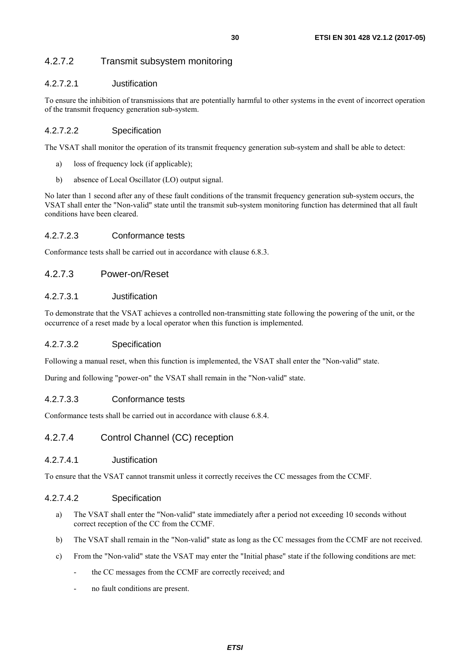### <span id="page-29-0"></span>4.2.7.2 Transmit subsystem monitoring

#### 4.2.7.2.1 Justification

To ensure the inhibition of transmissions that are potentially harmful to other systems in the event of incorrect operation of the transmit frequency generation sub-system.

#### 4.2.7.2.2 Specification

The VSAT shall monitor the operation of its transmit frequency generation sub-system and shall be able to detect:

- a) loss of frequency lock (if applicable);
- b) absence of Local Oscillator (LO) output signal.

No later than 1 second after any of these fault conditions of the transmit frequency generation sub-system occurs, the VSAT shall enter the "Non-valid" state until the transmit sub-system monitoring function has determined that all fault conditions have been cleared.

#### 4.2.7.2.3 Conformance tests

Conformance tests shall be carried out in accordance with clause 6.8.3.

#### 4.2.7.3 Power-on/Reset

#### 4.2.7.3.1 Justification

To demonstrate that the VSAT achieves a controlled non-transmitting state following the powering of the unit, or the occurrence of a reset made by a local operator when this function is implemented.

#### 4.2.7.3.2 Specification

Following a manual reset, when this function is implemented, the VSAT shall enter the "Non-valid" state.

During and following "power-on" the VSAT shall remain in the "Non-valid" state.

#### 4.2.7.3.3 Conformance tests

Conformance tests shall be carried out in accordance with clause 6.8.4.

#### 4.2.7.4 Control Channel (CC) reception

#### 4.2.7.4.1 Justification

To ensure that the VSAT cannot transmit unless it correctly receives the CC messages from the CCMF.

#### 4.2.7.4.2 Specification

- a) The VSAT shall enter the "Non-valid" state immediately after a period not exceeding 10 seconds without correct reception of the CC from the CCMF.
- b) The VSAT shall remain in the "Non-valid" state as long as the CC messages from the CCMF are not received.
- c) From the "Non-valid" state the VSAT may enter the "Initial phase" state if the following conditions are met:
	- the CC messages from the CCMF are correctly received; and
	- no fault conditions are present.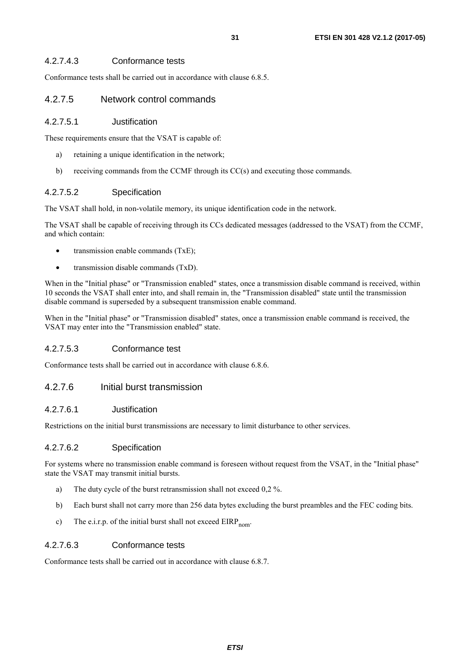#### <span id="page-30-0"></span>4.2.7.4.3 Conformance tests

Conformance tests shall be carried out in accordance with clause 6.8.5.

#### 4.2.7.5 Network control commands

#### 4.2.7.5.1 Justification

These requirements ensure that the VSAT is capable of:

- a) retaining a unique identification in the network;
- b) receiving commands from the CCMF through its CC(s) and executing those commands.

#### 4.2.7.5.2 Specification

The VSAT shall hold, in non-volatile memory, its unique identification code in the network.

The VSAT shall be capable of receiving through its CCs dedicated messages (addressed to the VSAT) from the CCMF, and which contain:

- transmission enable commands (TxE);
- transmission disable commands (TxD).

When in the "Initial phase" or "Transmission enabled" states, once a transmission disable command is received, within 10 seconds the VSAT shall enter into, and shall remain in, the "Transmission disabled" state until the transmission disable command is superseded by a subsequent transmission enable command.

When in the "Initial phase" or "Transmission disabled" states, once a transmission enable command is received, the VSAT may enter into the "Transmission enabled" state.

#### 4.2.7.5.3 Conformance test

Conformance tests shall be carried out in accordance with clause 6.8.6.

#### 4.2.7.6 Initial burst transmission

#### 4.2.7.6.1 Justification

Restrictions on the initial burst transmissions are necessary to limit disturbance to other services.

#### 4.2.7.6.2 Specification

For systems where no transmission enable command is foreseen without request from the VSAT, in the "Initial phase" state the VSAT may transmit initial bursts.

- a) The duty cycle of the burst retransmission shall not exceed 0,2 %.
- b) Each burst shall not carry more than 256 data bytes excluding the burst preambles and the FEC coding bits.
- c) The e.i.r.p. of the initial burst shall not exceed  $EIRP_{\text{nom}}$ .

#### 4.2.7.6.3 Conformance tests

Conformance tests shall be carried out in accordance with clause 6.8.7.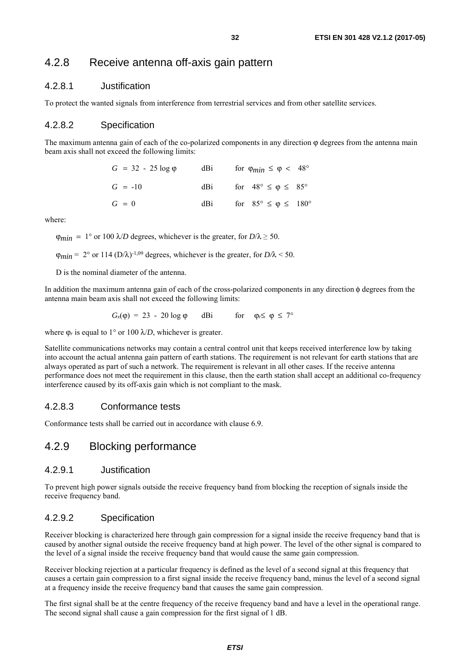### <span id="page-31-0"></span>4.2.8 Receive antenna off-axis gain pattern

#### 4.2.8.1 Justification

To protect the wanted signals from interference from terrestrial services and from other satellite services.

#### 4.2.8.2 Specification

The maximum antenna gain of each of the co-polarized components in any direction  $\varphi$  degrees from the antenna main beam axis shall not exceed the following limits:

| $G = 32 - 25 \log \phi$ | dBi | for $\varphi_{min} \leq \varphi < 48^{\circ}$ |
|-------------------------|-----|-----------------------------------------------|
| $G = -10$               | dBi | for $48^{\circ} \leq \varphi \leq 85^{\circ}$ |
| $G = 0$                 | dBi | for $85^{\circ} \le \varphi \le 180^{\circ}$  |

where:

 $\varphi_{min} = 1^{\circ}$  or 100  $\lambda/D$  degrees, whichever is the greater, for  $D/\lambda \ge 50$ .

 $\varphi_{min} = 2^{\circ}$  or 114 (D/ $\lambda$ )<sup>-1,09</sup> degrees, whichever is the greater, for D/ $\lambda$  < 50.

D is the nominal diameter of the antenna.

In addition the maximum antenna gain of each of the cross-polarized components in any direction φ degrees from the antenna main beam axis shall not exceed the following limits:

$$
G_x(\varphi) = 23 - 20 \log \varphi \quad \text{dBi} \quad \text{for} \quad \varphi_r \leq \varphi \leq 7^{\circ}
$$

where  $\varphi_r$  is equal to 1° or 100  $\lambda/D$ , whichever is greater.

Satellite communications networks may contain a central control unit that keeps received interference low by taking into account the actual antenna gain pattern of earth stations. The requirement is not relevant for earth stations that are always operated as part of such a network. The requirement is relevant in all other cases. If the receive antenna performance does not meet the requirement in this clause, then the earth station shall accept an additional co-frequency interference caused by its off-axis gain which is not compliant to the mask.

#### 4.2.8.3 Conformance tests

Conformance tests shall be carried out in accordance with clause 6.9.

### 4.2.9 Blocking performance

#### 4.2.9.1 Justification

To prevent high power signals outside the receive frequency band from blocking the reception of signals inside the receive frequency band.

#### 4.2.9.2 Specification

Receiver blocking is characterized here through gain compression for a signal inside the receive frequency band that is caused by another signal outside the receive frequency band at high power. The level of the other signal is compared to the level of a signal inside the receive frequency band that would cause the same gain compression.

Receiver blocking rejection at a particular frequency is defined as the level of a second signal at this frequency that causes a certain gain compression to a first signal inside the receive frequency band, minus the level of a second signal at a frequency inside the receive frequency band that causes the same gain compression.

The first signal shall be at the centre frequency of the receive frequency band and have a level in the operational range. The second signal shall cause a gain compression for the first signal of 1 dB.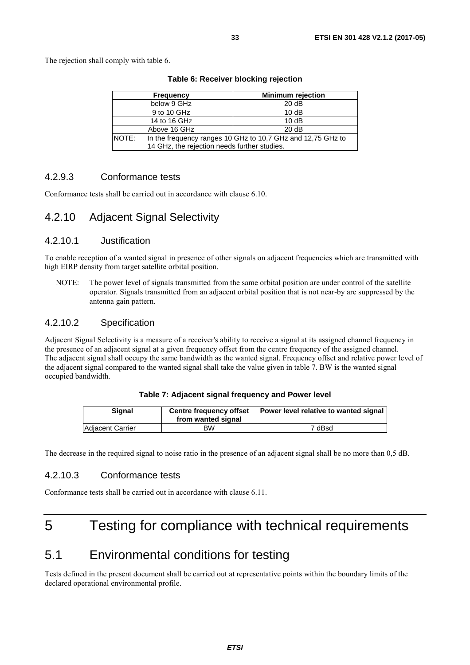<span id="page-32-0"></span>

|              | <b>Frequency</b>                             | <b>Minimum rejection</b>                                    |
|--------------|----------------------------------------------|-------------------------------------------------------------|
|              | below 9 GHz                                  | 20 dB                                                       |
|              | 9 to 10 GHz                                  | 10dB                                                        |
|              | 14 to 16 GHz                                 | 10dB                                                        |
|              | Above 16 GHz                                 | 20 dB                                                       |
| <b>NOTE:</b> |                                              | In the frequency ranges 10 GHz to 10,7 GHz and 12,75 GHz to |
|              | 14 GHz, the rejection needs further studies. |                                                             |

**Table 6: Receiver blocking rejection** 

#### 4.2.9.3 Conformance tests

Conformance tests shall be carried out in accordance with clause 6.10.

## 4.2.10 Adjacent Signal Selectivity

#### 4.2.10.1 Justification

To enable reception of a wanted signal in presence of other signals on adjacent frequencies which are transmitted with high EIRP density from target satellite orbital position.

NOTE: The power level of signals transmitted from the same orbital position are under control of the satellite operator. Signals transmitted from an adjacent orbital position that is not near-by are suppressed by the antenna gain pattern.

#### 4.2.10.2 Specification

Adjacent Signal Selectivity is a measure of a receiver's ability to receive a signal at its assigned channel frequency in the presence of an adjacent signal at a given frequency offset from the centre frequency of the assigned channel. The adjacent signal shall occupy the same bandwidth as the wanted signal. Frequency offset and relative power level of the adjacent signal compared to the wanted signal shall take the value given in table 7. BW is the wanted signal occupied bandwidth.

|  | Table 7: Adjacent signal frequency and Power level |  |  |  |
|--|----------------------------------------------------|--|--|--|
|--|----------------------------------------------------|--|--|--|

| <b>Signal</b>           | <b>Centre frequency offset</b><br>from wanted signal | Power level relative to wanted signal |
|-------------------------|------------------------------------------------------|---------------------------------------|
| <b>Adjacent Carrier</b> | ВW                                                   | 7 dBsd                                |

The decrease in the required signal to noise ratio in the presence of an adjacent signal shall be no more than 0,5 dB.

#### 4.2.10.3 Conformance tests

Conformance tests shall be carried out in accordance with clause 6.11.

## 5 Testing for compliance with technical requirements

## 5.1 Environmental conditions for testing

Tests defined in the present document shall be carried out at representative points within the boundary limits of the declared operational environmental profile.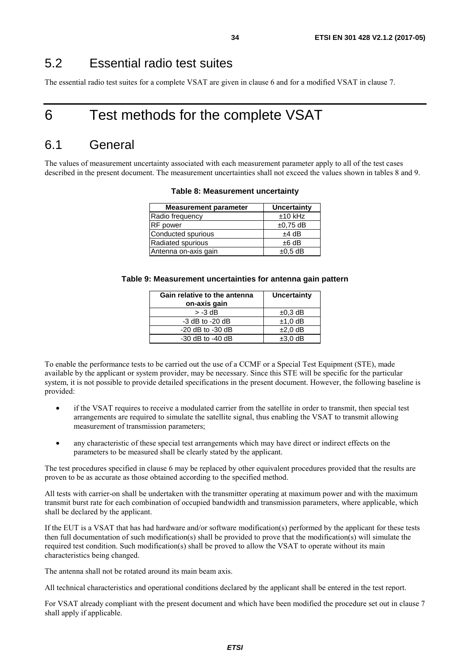## <span id="page-33-0"></span>5.2 Essential radio test suites

The essential radio test suites for a complete VSAT are given in clause 6 and for a modified VSAT in clause 7.

## 6 Test methods for the complete VSAT

## 6.1 General

The values of measurement uncertainty associated with each measurement parameter apply to all of the test cases described in the present document. The measurement uncertainties shall not exceed the values shown in tables 8 and 9.

| <b>Measurement parameter</b> | Uncertainty   |
|------------------------------|---------------|
| Radio frequency              | $±10$ kHz     |
| <b>RF</b> power              | $\pm 0.75$ dB |
| Conducted spurious           | $±4$ dB       |
| Radiated spurious            | $±6$ dB       |
| Antenna on-axis gain         | $\pm 0.5$ dB  |

#### **Table 8: Measurement uncertainty**

#### **Table 9: Measurement uncertainties for antenna gain pattern**

| Gain relative to the antenna<br>on-axis gain | <b>Uncertainty</b> |
|----------------------------------------------|--------------------|
| $> -3$ dB                                    | $\pm 0.3$ dB       |
| $-3$ dB to $-20$ dB                          | $±1,0$ dB          |
| $-20$ dB to $-30$ dB                         | $±2,0$ dB          |
| $-30$ dB to $-40$ dB                         | $±3.0$ dB          |

To enable the performance tests to be carried out the use of a CCMF or a Special Test Equipment (STE), made available by the applicant or system provider, may be necessary. Since this STE will be specific for the particular system, it is not possible to provide detailed specifications in the present document. However, the following baseline is provided:

- if the VSAT requires to receive a modulated carrier from the satellite in order to transmit, then special test arrangements are required to simulate the satellite signal, thus enabling the VSAT to transmit allowing measurement of transmission parameters;
- any characteristic of these special test arrangements which may have direct or indirect effects on the parameters to be measured shall be clearly stated by the applicant.

The test procedures specified in clause 6 may be replaced by other equivalent procedures provided that the results are proven to be as accurate as those obtained according to the specified method.

All tests with carrier-on shall be undertaken with the transmitter operating at maximum power and with the maximum transmit burst rate for each combination of occupied bandwidth and transmission parameters, where applicable, which shall be declared by the applicant.

If the EUT is a VSAT that has had hardware and/or software modification(s) performed by the applicant for these tests then full documentation of such modification(s) shall be provided to prove that the modification(s) will simulate the required test condition. Such modification(s) shall be proved to allow the VSAT to operate without its main characteristics being changed.

The antenna shall not be rotated around its main beam axis.

All technical characteristics and operational conditions declared by the applicant shall be entered in the test report.

For VSAT already compliant with the present document and which have been modified the procedure set out in clause 7 shall apply if applicable.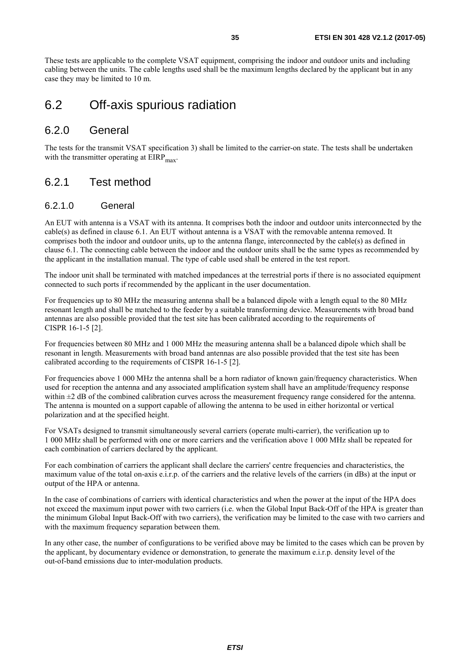<span id="page-34-0"></span>These tests are applicable to the complete VSAT equipment, comprising the indoor and outdoor units and including cabling between the units. The cable lengths used shall be the maximum lengths declared by the applicant but in any case they may be limited to 10 m.

## 6.2 Off-axis spurious radiation

### 6.2.0 General

The tests for the transmit VSAT specification 3) shall be limited to the carrier-on state. The tests shall be undertaken with the transmitter operating at  $EIRP<sub>max</sub>$ .

## 6.2.1 Test method

#### 6.2.1.0 General

An EUT with antenna is a VSAT with its antenna. It comprises both the indoor and outdoor units interconnected by the cable(s) as defined in clause 6.1. An EUT without antenna is a VSAT with the removable antenna removed. It comprises both the indoor and outdoor units, up to the antenna flange, interconnected by the cable(s) as defined in clause 6.1. The connecting cable between the indoor and the outdoor units shall be the same types as recommended by the applicant in the installation manual. The type of cable used shall be entered in the test report.

The indoor unit shall be terminated with matched impedances at the terrestrial ports if there is no associated equipment connected to such ports if recommended by the applicant in the user documentation.

For frequencies up to 80 MHz the measuring antenna shall be a balanced dipole with a length equal to the 80 MHz resonant length and shall be matched to the feeder by a suitable transforming device. Measurements with broad band antennas are also possible provided that the test site has been calibrated according to the requirements of CISPR 16-1-5 [\[2](#page-9-0)].

For frequencies between 80 MHz and 1 000 MHz the measuring antenna shall be a balanced dipole which shall be resonant in length. Measurements with broad band antennas are also possible provided that the test site has been calibrated according to the requirements of CISPR 16-1-5 [\[2](#page-9-0)].

For frequencies above 1 000 MHz the antenna shall be a horn radiator of known gain/frequency characteristics. When used for reception the antenna and any associated amplification system shall have an amplitude/frequency response within  $\pm 2$  dB of the combined calibration curves across the measurement frequency range considered for the antenna. The antenna is mounted on a support capable of allowing the antenna to be used in either horizontal or vertical polarization and at the specified height.

For VSATs designed to transmit simultaneously several carriers (operate multi-carrier), the verification up to 1 000 MHz shall be performed with one or more carriers and the verification above 1 000 MHz shall be repeated for each combination of carriers declared by the applicant.

For each combination of carriers the applicant shall declare the carriers' centre frequencies and characteristics, the maximum value of the total on-axis e.i.r.p. of the carriers and the relative levels of the carriers (in dBs) at the input or output of the HPA or antenna.

In the case of combinations of carriers with identical characteristics and when the power at the input of the HPA does not exceed the maximum input power with two carriers (i.e. when the Global Input Back-Off of the HPA is greater than the minimum Global Input Back-Off with two carriers), the verification may be limited to the case with two carriers and with the maximum frequency separation between them.

In any other case, the number of configurations to be verified above may be limited to the cases which can be proven by the applicant, by documentary evidence or demonstration, to generate the maximum e.i.r.p. density level of the out-of-band emissions due to inter-modulation products.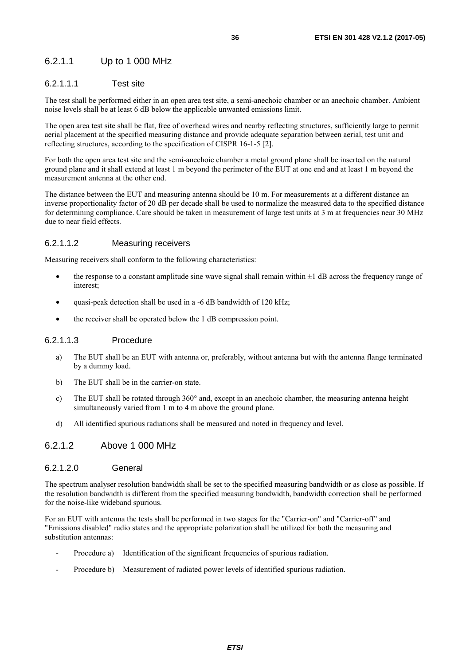#### <span id="page-35-0"></span>6.2.1.1 Up to 1 000 MHz

#### 6.2.1.1.1 Test site

The test shall be performed either in an open area test site, a semi-anechoic chamber or an anechoic chamber. Ambient noise levels shall be at least 6 dB below the applicable unwanted emissions limit.

The open area test site shall be flat, free of overhead wires and nearby reflecting structures, sufficiently large to permit aerial placement at the specified measuring distance and provide adequate separation between aerial, test unit and reflecting structures, according to the specification of CISPR 16-1-5 [\[2](#page-9-0)].

For both the open area test site and the semi-anechoic chamber a metal ground plane shall be inserted on the natural ground plane and it shall extend at least 1 m beyond the perimeter of the EUT at one end and at least 1 m beyond the measurement antenna at the other end.

The distance between the EUT and measuring antenna should be 10 m. For measurements at a different distance an inverse proportionality factor of 20 dB per decade shall be used to normalize the measured data to the specified distance for determining compliance. Care should be taken in measurement of large test units at 3 m at frequencies near 30 MHz due to near field effects.

#### 6.2.1.1.2 Measuring receivers

Measuring receivers shall conform to the following characteristics:

- the response to a constant amplitude sine wave signal shall remain within  $\pm 1$  dB across the frequency range of interest;
- quasi-peak detection shall be used in a -6 dB bandwidth of 120 kHz;
- the receiver shall be operated below the 1 dB compression point.

#### 6.2.1.1.3 Procedure

- a) The EUT shall be an EUT with antenna or, preferably, without antenna but with the antenna flange terminated by a dummy load.
- b) The EUT shall be in the carrier-on state.
- c) The EUT shall be rotated through 360° and, except in an anechoic chamber, the measuring antenna height simultaneously varied from 1 m to 4 m above the ground plane.
- d) All identified spurious radiations shall be measured and noted in frequency and level.

#### 6.2.1.2 Above 1 000 MHz

#### 6.2.1.2.0 General

The spectrum analyser resolution bandwidth shall be set to the specified measuring bandwidth or as close as possible. If the resolution bandwidth is different from the specified measuring bandwidth, bandwidth correction shall be performed for the noise-like wideband spurious.

For an EUT with antenna the tests shall be performed in two stages for the "Carrier-on" and "Carrier-off" and "Emissions disabled" radio states and the appropriate polarization shall be utilized for both the measuring and substitution antennas:

- Procedure a) Identification of the significant frequencies of spurious radiation.
- Procedure b) Measurement of radiated power levels of identified spurious radiation.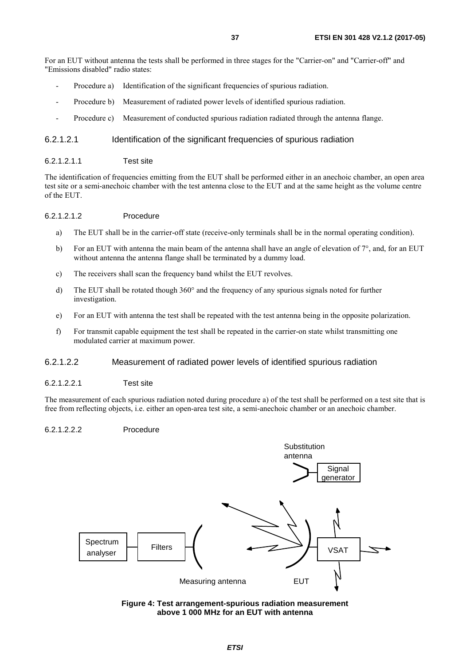<span id="page-36-0"></span>For an EUT without antenna the tests shall be performed in three stages for the "Carrier-on" and "Carrier-off" and "Emissions disabled" radio states:

- Procedure a) Identification of the significant frequencies of spurious radiation.
- Procedure b) Measurement of radiated power levels of identified spurious radiation.
- Procedure c) Measurement of conducted spurious radiation radiated through the antenna flange.

#### 6.2.1.2.1 Identification of the significant frequencies of spurious radiation

6.2.1.2.1.1 Test site

The identification of frequencies emitting from the EUT shall be performed either in an anechoic chamber, an open area test site or a semi-anechoic chamber with the test antenna close to the EUT and at the same height as the volume centre of the EUT.

#### 6.2.1.2.1.2 Procedure

- a) The EUT shall be in the carrier-off state (receive-only terminals shall be in the normal operating condition).
- b) For an EUT with antenna the main beam of the antenna shall have an angle of elevation of  $7^\circ$ , and, for an EUT without antenna the antenna flange shall be terminated by a dummy load.
- c) The receivers shall scan the frequency band whilst the EUT revolves.
- d) The EUT shall be rotated though 360° and the frequency of any spurious signals noted for further investigation.
- e) For an EUT with antenna the test shall be repeated with the test antenna being in the opposite polarization.
- f) For transmit capable equipment the test shall be repeated in the carrier-on state whilst transmitting one modulated carrier at maximum power.

#### 6.2.1.2.2 Measurement of radiated power levels of identified spurious radiation

#### 6.2.1.2.2.1 Test site

The measurement of each spurious radiation noted during procedure a) of the test shall be performed on a test site that is free from reflecting objects, i.e. either an open-area test site, a semi-anechoic chamber or an anechoic chamber.

#### 6.2.1.2.2.2 Procedure



**Figure 4: Test arrangement-spurious radiation measurement above 1 000 MHz for an EUT with antenna**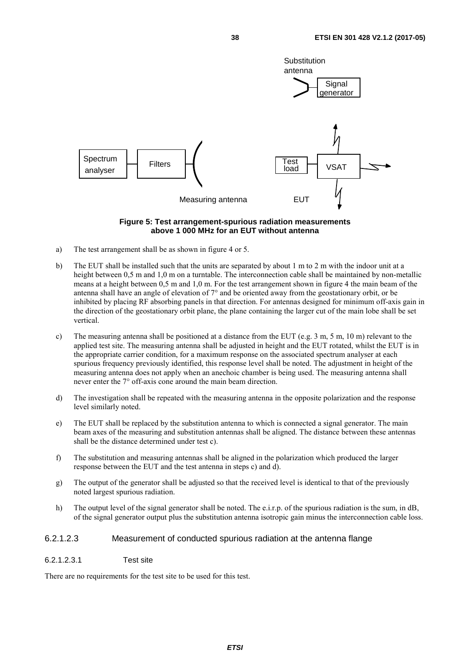<span id="page-37-0"></span>

#### **Figure 5: Test arrangement-spurious radiation measurements above 1 000 MHz for an EUT without antenna**

- a) The test arrangement shall be as shown in figure 4 or 5.
- b) The EUT shall be installed such that the units are separated by about 1 m to 2 m with the indoor unit at a height between 0.5 m and 1.0 m on a turntable. The interconnection cable shall be maintained by non-metallic means at a height between 0,5 m and 1,0 m. For the test arrangement shown in figure 4 the main beam of the antenna shall have an angle of elevation of 7° and be oriented away from the geostationary orbit, or be inhibited by placing RF absorbing panels in that direction. For antennas designed for minimum off-axis gain in the direction of the geostationary orbit plane, the plane containing the larger cut of the main lobe shall be set vertical.
- c) The measuring antenna shall be positioned at a distance from the EUT (e.g. 3 m, 5 m, 10 m) relevant to the applied test site. The measuring antenna shall be adjusted in height and the EUT rotated, whilst the EUT is in the appropriate carrier condition, for a maximum response on the associated spectrum analyser at each spurious frequency previously identified, this response level shall be noted. The adjustment in height of the measuring antenna does not apply when an anechoic chamber is being used. The measuring antenna shall never enter the 7° off-axis cone around the main beam direction.
- d) The investigation shall be repeated with the measuring antenna in the opposite polarization and the response level similarly noted.
- e) The EUT shall be replaced by the substitution antenna to which is connected a signal generator. The main beam axes of the measuring and substitution antennas shall be aligned. The distance between these antennas shall be the distance determined under test c).
- f) The substitution and measuring antennas shall be aligned in the polarization which produced the larger response between the EUT and the test antenna in steps c) and d).
- g) The output of the generator shall be adjusted so that the received level is identical to that of the previously noted largest spurious radiation.
- h) The output level of the signal generator shall be noted. The e.i.r.p. of the spurious radiation is the sum, in dB, of the signal generator output plus the substitution antenna isotropic gain minus the interconnection cable loss.

#### 6.2.1.2.3 Measurement of conducted spurious radiation at the antenna flange

6.2.1.2.3.1 Test site

There are no requirements for the test site to be used for this test.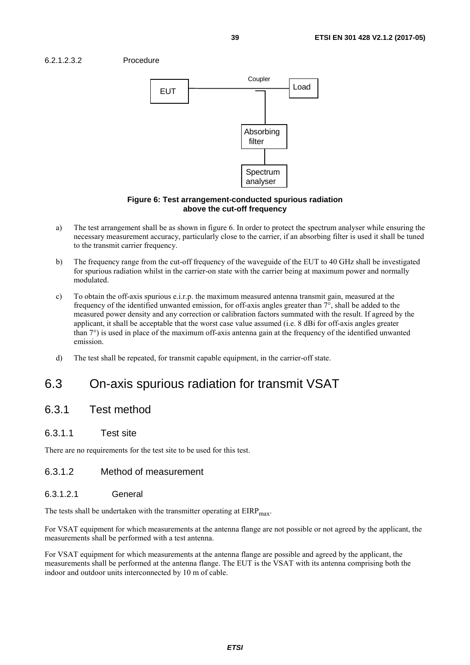<span id="page-38-0"></span>



#### **Figure 6: Test arrangement-conducted spurious radiation above the cut-off frequency**

- a) The test arrangement shall be as shown in figure 6. In order to protect the spectrum analyser while ensuring the necessary measurement accuracy, particularly close to the carrier, if an absorbing filter is used it shall be tuned to the transmit carrier frequency.
- b) The frequency range from the cut-off frequency of the waveguide of the EUT to 40 GHz shall be investigated for spurious radiation whilst in the carrier-on state with the carrier being at maximum power and normally modulated.
- c) To obtain the off-axis spurious e.i.r.p. the maximum measured antenna transmit gain, measured at the frequency of the identified unwanted emission, for off-axis angles greater than 7°, shall be added to the measured power density and any correction or calibration factors summated with the result. If agreed by the applicant, it shall be acceptable that the worst case value assumed (i.e. 8 dBi for off-axis angles greater than 7°) is used in place of the maximum off-axis antenna gain at the frequency of the identified unwanted emission.
- d) The test shall be repeated, for transmit capable equipment, in the carrier-off state.

## 6.3 On-axis spurious radiation for transmit VSAT

### 6.3.1 Test method

#### 6.3.1.1 Test site

There are no requirements for the test site to be used for this test.

#### 6.3.1.2 Method of measurement

#### 6.3.1.2.1 General

The tests shall be undertaken with the transmitter operating at  $EIRP<sub>max</sub>$ .

For VSAT equipment for which measurements at the antenna flange are not possible or not agreed by the applicant, the measurements shall be performed with a test antenna.

For VSAT equipment for which measurements at the antenna flange are possible and agreed by the applicant, the measurements shall be performed at the antenna flange. The EUT is the VSAT with its antenna comprising both the indoor and outdoor units interconnected by 10 m of cable.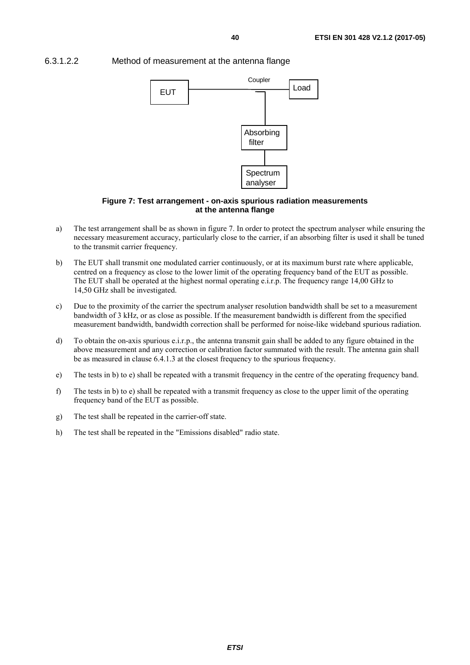<span id="page-39-0"></span>

6.3.1.2.2 Method of measurement at the antenna flange



#### **Figure 7: Test arrangement - on-axis spurious radiation measurements at the antenna flange**

- a) The test arrangement shall be as shown in figure 7. In order to protect the spectrum analyser while ensuring the necessary measurement accuracy, particularly close to the carrier, if an absorbing filter is used it shall be tuned to the transmit carrier frequency.
- b) The EUT shall transmit one modulated carrier continuously, or at its maximum burst rate where applicable, centred on a frequency as close to the lower limit of the operating frequency band of the EUT as possible. The EUT shall be operated at the highest normal operating e.i.r.p. The frequency range 14,00 GHz to 14,50 GHz shall be investigated.
- c) Due to the proximity of the carrier the spectrum analyser resolution bandwidth shall be set to a measurement bandwidth of 3 kHz, or as close as possible. If the measurement bandwidth is different from the specified measurement bandwidth, bandwidth correction shall be performed for noise-like wideband spurious radiation.
- d) To obtain the on-axis spurious e.i.r.p., the antenna transmit gain shall be added to any figure obtained in the above measurement and any correction or calibration factor summated with the result. The antenna gain shall be as measured in clause 6.4.1.3 at the closest frequency to the spurious frequency.
- e) The tests in b) to e) shall be repeated with a transmit frequency in the centre of the operating frequency band.
- f) The tests in b) to e) shall be repeated with a transmit frequency as close to the upper limit of the operating frequency band of the EUT as possible.
- g) The test shall be repeated in the carrier-off state.
- h) The test shall be repeated in the "Emissions disabled" radio state.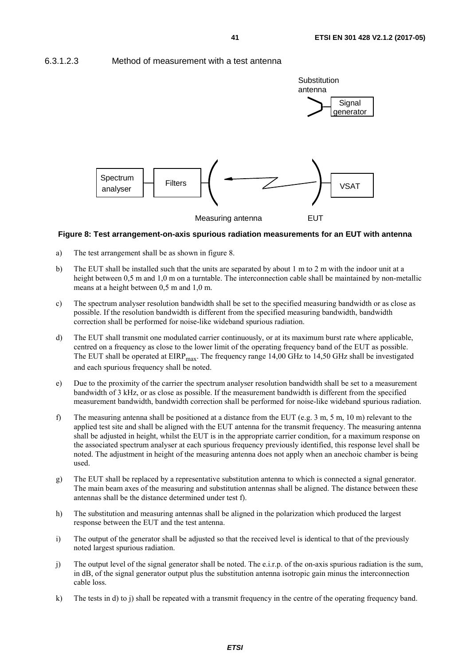#### <span id="page-40-0"></span>6.3.1.2.3 Method of measurement with a test antenna



#### **Figure 8: Test arrangement-on-axis spurious radiation measurements for an EUT with antenna**

- a) The test arrangement shall be as shown in figure 8.
- b) The EUT shall be installed such that the units are separated by about 1 m to 2 m with the indoor unit at a height between 0,5 m and 1,0 m on a turntable. The interconnection cable shall be maintained by non-metallic means at a height between 0,5 m and 1,0 m.
- c) The spectrum analyser resolution bandwidth shall be set to the specified measuring bandwidth or as close as possible. If the resolution bandwidth is different from the specified measuring bandwidth, bandwidth correction shall be performed for noise-like wideband spurious radiation.
- d) The EUT shall transmit one modulated carrier continuously, or at its maximum burst rate where applicable, centred on a frequency as close to the lower limit of the operating frequency band of the EUT as possible. The EUT shall be operated at  $EIRP<sub>max</sub>$ . The frequency range 14,00 GHz to 14,50 GHz shall be investigated and each spurious frequency shall be noted.
- e) Due to the proximity of the carrier the spectrum analyser resolution bandwidth shall be set to a measurement bandwidth of 3 kHz, or as close as possible. If the measurement bandwidth is different from the specified measurement bandwidth, bandwidth correction shall be performed for noise-like wideband spurious radiation.
- f) The measuring antenna shall be positioned at a distance from the EUT (e.g. 3 m, 5 m, 10 m) relevant to the applied test site and shall be aligned with the EUT antenna for the transmit frequency. The measuring antenna shall be adjusted in height, whilst the EUT is in the appropriate carrier condition, for a maximum response on the associated spectrum analyser at each spurious frequency previously identified, this response level shall be noted. The adjustment in height of the measuring antenna does not apply when an anechoic chamber is being used.
- g) The EUT shall be replaced by a representative substitution antenna to which is connected a signal generator. The main beam axes of the measuring and substitution antennas shall be aligned. The distance between these antennas shall be the distance determined under test f).
- h) The substitution and measuring antennas shall be aligned in the polarization which produced the largest response between the EUT and the test antenna.
- i) The output of the generator shall be adjusted so that the received level is identical to that of the previously noted largest spurious radiation.
- j) The output level of the signal generator shall be noted. The e.i.r.p. of the on-axis spurious radiation is the sum, in dB, of the signal generator output plus the substitution antenna isotropic gain minus the interconnection cable loss.
- k) The tests in d) to j) shall be repeated with a transmit frequency in the centre of the operating frequency band.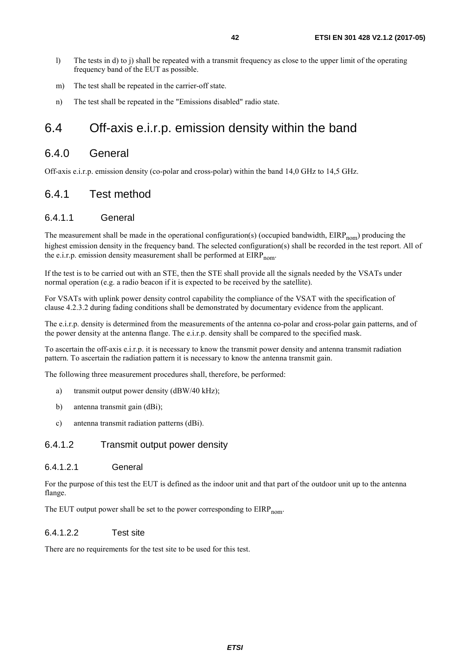- <span id="page-41-0"></span>l) The tests in d) to j) shall be repeated with a transmit frequency as close to the upper limit of the operating frequency band of the EUT as possible.
- m) The test shall be repeated in the carrier-off state.
- n) The test shall be repeated in the "Emissions disabled" radio state.

## 6.4 Off-axis e.i.r.p. emission density within the band

#### 6.4.0 General

Off-axis e.i.r.p. emission density (co-polar and cross-polar) within the band 14,0 GHz to 14,5 GHz.

### 6.4.1 Test method

#### 6.4.1.1 General

The measurement shall be made in the operational configuration(s) (occupied bandwidth,  $EIRP_{nom}$ ) producing the highest emission density in the frequency band. The selected configuration(s) shall be recorded in the test report. All of the e.i.r.p. emission density measurement shall be performed at  $EIRP_{nom}$ .

If the test is to be carried out with an STE, then the STE shall provide all the signals needed by the VSATs under normal operation (e.g. a radio beacon if it is expected to be received by the satellite).

For VSATs with uplink power density control capability the compliance of the VSAT with the specification of clause 4.2.3.2 during fading conditions shall be demonstrated by documentary evidence from the applicant.

The e.i.r.p. density is determined from the measurements of the antenna co-polar and cross-polar gain patterns, and of the power density at the antenna flange. The e.i.r.p. density shall be compared to the specified mask.

To ascertain the off-axis e.i.r.p. it is necessary to know the transmit power density and antenna transmit radiation pattern. To ascertain the radiation pattern it is necessary to know the antenna transmit gain.

The following three measurement procedures shall, therefore, be performed:

- a) transmit output power density (dBW/40 kHz);
- b) antenna transmit gain (dBi);
- c) antenna transmit radiation patterns (dBi).

#### 6.4.1.2 Transmit output power density

#### 6.4.1.2.1 General

For the purpose of this test the EUT is defined as the indoor unit and that part of the outdoor unit up to the antenna flange.

The EUT output power shall be set to the power corresponding to  $EIRP_{nom}$ .

#### 6.4.1.2.2 Test site

There are no requirements for the test site to be used for this test.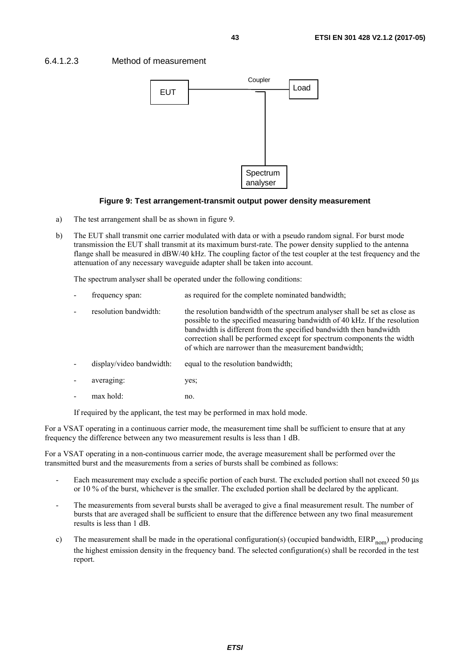#### <span id="page-42-0"></span>6.4.1.2.3 Method of measurement



#### **Figure 9: Test arrangement-transmit output power density measurement**

- a) The test arrangement shall be as shown in figure 9.
- b) The EUT shall transmit one carrier modulated with data or with a pseudo random signal. For burst mode transmission the EUT shall transmit at its maximum burst-rate. The power density supplied to the antenna flange shall be measured in dBW/40 kHz. The coupling factor of the test coupler at the test frequency and the attenuation of any necessary waveguide adapter shall be taken into account.

The spectrum analyser shall be operated under the following conditions:

- frequency span: as required for the complete nominated bandwidth;
- resolution bandwidth: the resolution bandwidth of the spectrum analyser shall be set as close as possible to the specified measuring bandwidth of 40 kHz. If the resolution bandwidth is different from the specified bandwidth then bandwidth correction shall be performed except for spectrum components the width of which are narrower than the measurement bandwidth;
- display/video bandwidth: equal to the resolution bandwidth;
- averaging: yes;
- max hold: no.

If required by the applicant, the test may be performed in max hold mode.

For a VSAT operating in a continuous carrier mode, the measurement time shall be sufficient to ensure that at any frequency the difference between any two measurement results is less than 1 dB.

For a VSAT operating in a non-continuous carrier mode, the average measurement shall be performed over the transmitted burst and the measurements from a series of bursts shall be combined as follows:

- Each measurement may exclude a specific portion of each burst. The excluded portion shall not exceed 50 μs or 10 % of the burst, whichever is the smaller. The excluded portion shall be declared by the applicant.
- The measurements from several bursts shall be averaged to give a final measurement result. The number of bursts that are averaged shall be sufficient to ensure that the difference between any two final measurement results is less than 1 dB.
- c) The measurement shall be made in the operational configuration(s) (occupied bandwidth,  $EIRP_{nom}$ ) producing the highest emission density in the frequency band. The selected configuration(s) shall be recorded in the test report.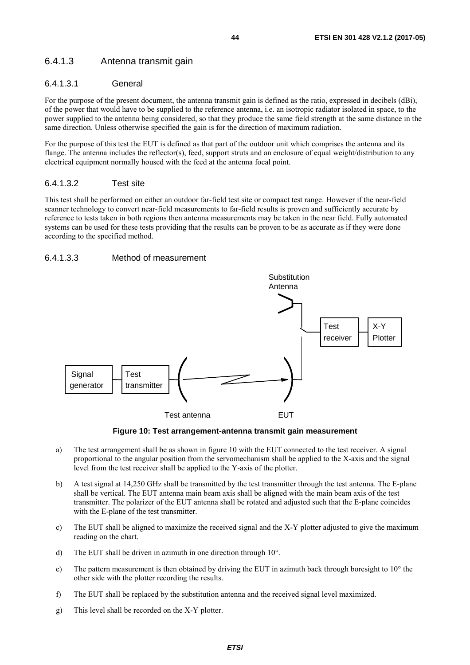### <span id="page-43-0"></span>6.4.1.3 Antenna transmit gain

#### 6.4.1.3.1 General

For the purpose of the present document, the antenna transmit gain is defined as the ratio, expressed in decibels (dBi), of the power that would have to be supplied to the reference antenna, i.e. an isotropic radiator isolated in space, to the power supplied to the antenna being considered, so that they produce the same field strength at the same distance in the same direction. Unless otherwise specified the gain is for the direction of maximum radiation.

For the purpose of this test the EUT is defined as that part of the outdoor unit which comprises the antenna and its flange. The antenna includes the reflector(s), feed, support struts and an enclosure of equal weight/distribution to any electrical equipment normally housed with the feed at the antenna focal point.

#### 6.4.1.3.2 Test site

This test shall be performed on either an outdoor far-field test site or compact test range. However if the near-field scanner technology to convert near-field measurements to far-field results is proven and sufficiently accurate by reference to tests taken in both regions then antenna measurements may be taken in the near field. Fully automated systems can be used for these tests providing that the results can be proven to be as accurate as if they were done according to the specified method.

#### 6.4.1.3.3 Method of measurement



**Figure 10: Test arrangement-antenna transmit gain measurement** 

- a) The test arrangement shall be as shown in figure 10 with the EUT connected to the test receiver. A signal proportional to the angular position from the servomechanism shall be applied to the X-axis and the signal level from the test receiver shall be applied to the Y-axis of the plotter.
- b) A test signal at 14,250 GHz shall be transmitted by the test transmitter through the test antenna. The E-plane shall be vertical. The EUT antenna main beam axis shall be aligned with the main beam axis of the test transmitter. The polarizer of the EUT antenna shall be rotated and adjusted such that the E-plane coincides with the E-plane of the test transmitter.
- c) The EUT shall be aligned to maximize the received signal and the X-Y plotter adjusted to give the maximum reading on the chart.
- d) The EUT shall be driven in azimuth in one direction through 10°.
- e) The pattern measurement is then obtained by driving the EUT in azimuth back through boresight to  $10^{\circ}$  the other side with the plotter recording the results.
- f) The EUT shall be replaced by the substitution antenna and the received signal level maximized.
- g) This level shall be recorded on the X-Y plotter.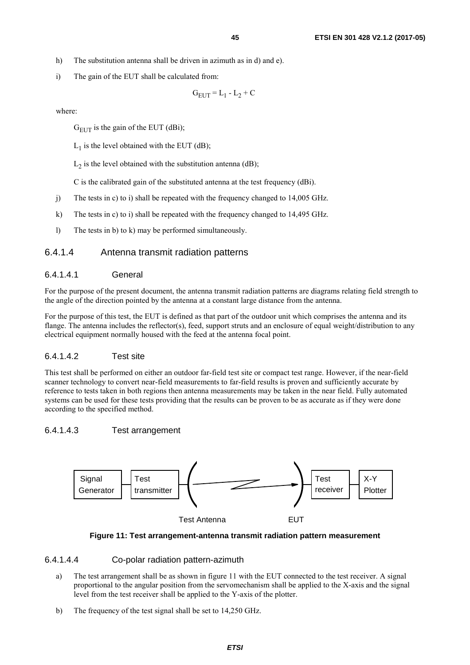- <span id="page-44-0"></span>h) The substitution antenna shall be driven in azimuth as in d) and e).
- i) The gain of the EUT shall be calculated from:

$$
G_{EUT} = L_1 - L_2 + C
$$

where:

 $G<sub>FIT</sub>$  is the gain of the EUT (dBi);

 $L_1$  is the level obtained with the EUT (dB);

 $L_2$  is the level obtained with the substitution antenna (dB);

C is the calibrated gain of the substituted antenna at the test frequency (dBi).

- j) The tests in c) to i) shall be repeated with the frequency changed to 14,005 GHz.
- k) The tests in c) to i) shall be repeated with the frequency changed to 14,495 GHz.
- l) The tests in b) to k) may be performed simultaneously.

#### 6.4.1.4 Antenna transmit radiation patterns

#### 6.4.1.4.1 General

For the purpose of the present document, the antenna transmit radiation patterns are diagrams relating field strength to the angle of the direction pointed by the antenna at a constant large distance from the antenna.

For the purpose of this test, the EUT is defined as that part of the outdoor unit which comprises the antenna and its flange. The antenna includes the reflector(s), feed, support struts and an enclosure of equal weight/distribution to any electrical equipment normally housed with the feed at the antenna focal point.

#### 6.4.1.4.2 Test site

This test shall be performed on either an outdoor far-field test site or compact test range. However, if the near-field scanner technology to convert near-field measurements to far-field results is proven and sufficiently accurate by reference to tests taken in both regions then antenna measurements may be taken in the near field. Fully automated systems can be used for these tests providing that the results can be proven to be as accurate as if they were done according to the specified method.

#### 6.4.1.4.3 Test arrangement



**Figure 11: Test arrangement-antenna transmit radiation pattern measurement** 

#### 6.4.1.4.4 Co-polar radiation pattern-azimuth

- a) The test arrangement shall be as shown in figure 11 with the EUT connected to the test receiver. A signal proportional to the angular position from the servomechanism shall be applied to the X-axis and the signal level from the test receiver shall be applied to the Y-axis of the plotter.
- b) The frequency of the test signal shall be set to 14,250 GHz.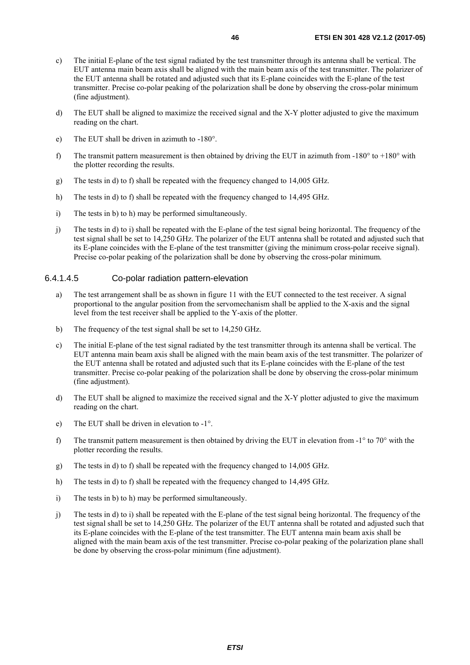- <span id="page-45-0"></span>c) The initial E-plane of the test signal radiated by the test transmitter through its antenna shall be vertical. The EUT antenna main beam axis shall be aligned with the main beam axis of the test transmitter. The polarizer of the EUT antenna shall be rotated and adjusted such that its E-plane coincides with the E-plane of the test transmitter. Precise co-polar peaking of the polarization shall be done by observing the cross-polar minimum (fine adjustment).
- d) The EUT shall be aligned to maximize the received signal and the X-Y plotter adjusted to give the maximum reading on the chart.
- e) The EUT shall be driven in azimuth to -180°.
- f) The transmit pattern measurement is then obtained by driving the EUT in azimuth from -180 $^{\circ}$  to +180 $^{\circ}$  with the plotter recording the results.
- g) The tests in d) to f) shall be repeated with the frequency changed to 14,005 GHz.
- h) The tests in d) to f) shall be repeated with the frequency changed to 14,495 GHz.
- i) The tests in b) to h) may be performed simultaneously.
- j) The tests in d) to i) shall be repeated with the E-plane of the test signal being horizontal. The frequency of the test signal shall be set to 14,250 GHz. The polarizer of the EUT antenna shall be rotated and adjusted such that its E-plane coincides with the E-plane of the test transmitter (giving the minimum cross-polar receive signal). Precise co-polar peaking of the polarization shall be done by observing the cross-polar minimum.

#### 6.4.1.4.5 Co-polar radiation pattern-elevation

- a) The test arrangement shall be as shown in figure 11 with the EUT connected to the test receiver. A signal proportional to the angular position from the servomechanism shall be applied to the X-axis and the signal level from the test receiver shall be applied to the Y-axis of the plotter.
- b) The frequency of the test signal shall be set to 14,250 GHz.
- c) The initial E-plane of the test signal radiated by the test transmitter through its antenna shall be vertical. The EUT antenna main beam axis shall be aligned with the main beam axis of the test transmitter. The polarizer of the EUT antenna shall be rotated and adjusted such that its E-plane coincides with the E-plane of the test transmitter. Precise co-polar peaking of the polarization shall be done by observing the cross-polar minimum (fine adjustment).
- d) The EUT shall be aligned to maximize the received signal and the X-Y plotter adjusted to give the maximum reading on the chart.
- e) The EUT shall be driven in elevation to -1°.
- f) The transmit pattern measurement is then obtained by driving the EUT in elevation from  $-1^\circ$  to 70° with the plotter recording the results.
- g) The tests in d) to f) shall be repeated with the frequency changed to 14,005 GHz.
- h) The tests in d) to f) shall be repeated with the frequency changed to 14,495 GHz.
- i) The tests in b) to h) may be performed simultaneously.
- j) The tests in d) to i) shall be repeated with the E-plane of the test signal being horizontal. The frequency of the test signal shall be set to 14,250 GHz. The polarizer of the EUT antenna shall be rotated and adjusted such that its E-plane coincides with the E-plane of the test transmitter. The EUT antenna main beam axis shall be aligned with the main beam axis of the test transmitter. Precise co-polar peaking of the polarization plane shall be done by observing the cross-polar minimum (fine adjustment).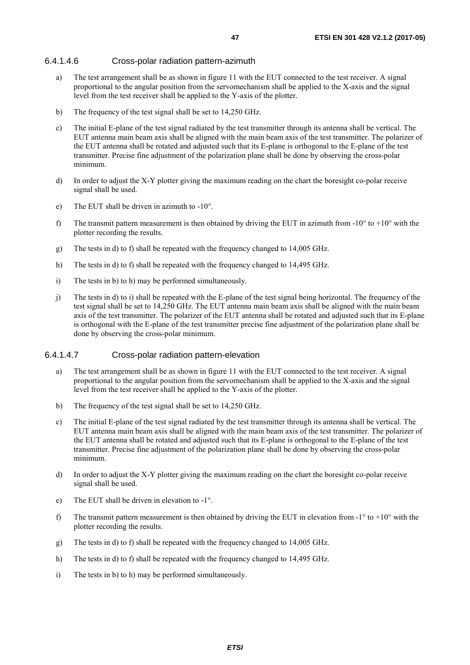#### <span id="page-46-0"></span>6.4.1.4.6 Cross-polar radiation pattern-azimuth

- a) The test arrangement shall be as shown in figure 11 with the EUT connected to the test receiver. A signal proportional to the angular position from the servomechanism shall be applied to the X-axis and the signal level from the test receiver shall be applied to the Y-axis of the plotter.
- b) The frequency of the test signal shall be set to 14,250 GHz.
- c) The initial E-plane of the test signal radiated by the test transmitter through its antenna shall be vertical. The EUT antenna main beam axis shall be aligned with the main beam axis of the test transmitter. The polarizer of the EUT antenna shall be rotated and adjusted such that its E-plane is orthogonal to the E-plane of the test transmitter. Precise fine adjustment of the polarization plane shall be done by observing the cross-polar minimum.
- d) In order to adjust the X-Y plotter giving the maximum reading on the chart the boresight co-polar receive signal shall be used.
- e) The EUT shall be driven in azimuth to -10°.
- f) The transmit pattern measurement is then obtained by driving the EUT in azimuth from  $-10^{\circ}$  to  $+10^{\circ}$  with the plotter recording the results.
- g) The tests in d) to f) shall be repeated with the frequency changed to 14,005 GHz.
- h) The tests in d) to f) shall be repeated with the frequency changed to 14,495 GHz.
- i) The tests in b) to h) may be performed simultaneously.
- j) The tests in d) to i) shall be repeated with the E-plane of the test signal being horizontal. The frequency of the test signal shall be set to 14,250 GHz. The EUT antenna main beam axis shall be aligned with the main beam axis of the test transmitter. The polarizer of the EUT antenna shall be rotated and adjusted such that its E-plane is orthogonal with the E-plane of the test transmitter precise fine adjustment of the polarization plane shall be done by observing the cross-polar minimum.

#### 6.4.1.4.7 Cross-polar radiation pattern-elevation

- a) The test arrangement shall be as shown in figure 11 with the EUT connected to the test receiver. A signal proportional to the angular position from the servomechanism shall be applied to the X-axis and the signal level from the test receiver shall be applied to the Y-axis of the plotter.
- b) The frequency of the test signal shall be set to 14,250 GHz.
- c) The initial E-plane of the test signal radiated by the test transmitter through its antenna shall be vertical. The EUT antenna main beam axis shall be aligned with the main beam axis of the test transmitter. The polarizer of the EUT antenna shall be rotated and adjusted such that its E-plane is orthogonal to the E-plane of the test transmitter. Precise fine adjustment of the polarization plane shall be done by observing the cross-polar minimum.
- d) In order to adjust the X-Y plotter giving the maximum reading on the chart the boresight co-polar receive signal shall be used.
- e) The EUT shall be driven in elevation to -1°.
- f) The transmit pattern measurement is then obtained by driving the EUT in elevation from  $-1^\circ$  to  $+10^\circ$  with the plotter recording the results.
- g) The tests in d) to f) shall be repeated with the frequency changed to 14,005 GHz.
- h) The tests in d) to f) shall be repeated with the frequency changed to 14,495 GHz.
- i) The tests in b) to h) may be performed simultaneously.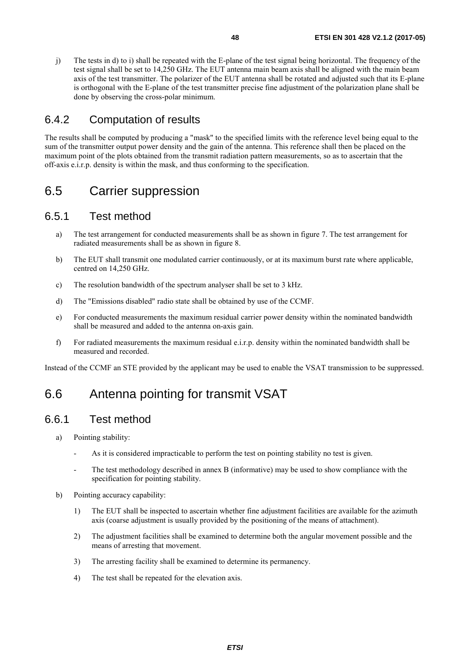<span id="page-47-0"></span>j) The tests in d) to i) shall be repeated with the E-plane of the test signal being horizontal. The frequency of the test signal shall be set to 14,250 GHz. The EUT antenna main beam axis shall be aligned with the main beam axis of the test transmitter. The polarizer of the EUT antenna shall be rotated and adjusted such that its E-plane is orthogonal with the E-plane of the test transmitter precise fine adjustment of the polarization plane shall be done by observing the cross-polar minimum.

### 6.4.2 Computation of results

The results shall be computed by producing a "mask" to the specified limits with the reference level being equal to the sum of the transmitter output power density and the gain of the antenna. This reference shall then be placed on the maximum point of the plots obtained from the transmit radiation pattern measurements, so as to ascertain that the off-axis e.i.r.p. density is within the mask, and thus conforming to the specification.

## 6.5 Carrier suppression

### 6.5.1 Test method

- a) The test arrangement for conducted measurements shall be as shown in figure 7. The test arrangement for radiated measurements shall be as shown in figure 8.
- b) The EUT shall transmit one modulated carrier continuously, or at its maximum burst rate where applicable, centred on 14,250 GHz.
- c) The resolution bandwidth of the spectrum analyser shall be set to 3 kHz.
- d) The "Emissions disabled" radio state shall be obtained by use of the CCMF.
- e) For conducted measurements the maximum residual carrier power density within the nominated bandwidth shall be measured and added to the antenna on-axis gain.
- f) For radiated measurements the maximum residual e.i.r.p. density within the nominated bandwidth shall be measured and recorded.

Instead of the CCMF an STE provided by the applicant may be used to enable the VSAT transmission to be suppressed.

## 6.6 Antenna pointing for transmit VSAT

## 6.6.1 Test method

- a) Pointing stability:
	- As it is considered impracticable to perform the test on pointing stability no test is given.
	- The test methodology described in annex B (informative) may be used to show compliance with the specification for pointing stability.
- b) Pointing accuracy capability:
	- 1) The EUT shall be inspected to ascertain whether fine adjustment facilities are available for the azimuth axis (coarse adjustment is usually provided by the positioning of the means of attachment).
	- 2) The adjustment facilities shall be examined to determine both the angular movement possible and the means of arresting that movement.
	- 3) The arresting facility shall be examined to determine its permanency.
	- 4) The test shall be repeated for the elevation axis.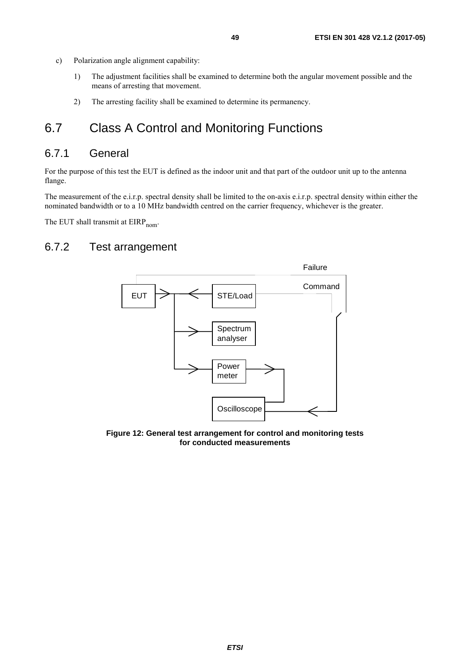- <span id="page-48-0"></span>c) Polarization angle alignment capability:
	- 1) The adjustment facilities shall be examined to determine both the angular movement possible and the means of arresting that movement.
	- 2) The arresting facility shall be examined to determine its permanency.

## 6.7 Class A Control and Monitoring Functions

### 6.7.1 General

For the purpose of this test the EUT is defined as the indoor unit and that part of the outdoor unit up to the antenna flange.

The measurement of the e.i.r.p. spectral density shall be limited to the on-axis e.i.r.p. spectral density within either the nominated bandwidth or to a 10 MHz bandwidth centred on the carrier frequency, whichever is the greater.

The EUT shall transmit at  $EIRP_{nom}$ .

## 6.7.2 Test arrangement



**Figure 12: General test arrangement for control and monitoring tests for conducted measurements**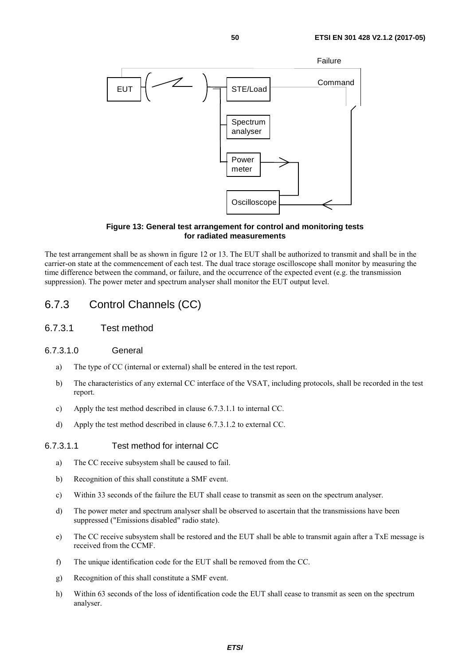<span id="page-49-0"></span>

#### **Figure 13: General test arrangement for control and monitoring tests for radiated measurements**

The test arrangement shall be as shown in figure 12 or 13. The EUT shall be authorized to transmit and shall be in the carrier-on state at the commencement of each test. The dual trace storage oscilloscope shall monitor by measuring the time difference between the command, or failure, and the occurrence of the expected event (e.g. the transmission suppression). The power meter and spectrum analyser shall monitor the EUT output level.

## 6.7.3 Control Channels (CC)

6.7.3.1 Test method

#### 6.7.3.1.0 General

- a) The type of CC (internal or external) shall be entered in the test report.
- b) The characteristics of any external CC interface of the VSAT, including protocols, shall be recorded in the test report.
- c) Apply the test method described in clause 6.7.3.1.1 to internal CC.
- d) Apply the test method described in clause 6.7.3.1.2 to external CC.

#### 6.7.3.1.1 Test method for internal CC

- a) The CC receive subsystem shall be caused to fail.
- b) Recognition of this shall constitute a SMF event.
- c) Within 33 seconds of the failure the EUT shall cease to transmit as seen on the spectrum analyser.
- d) The power meter and spectrum analyser shall be observed to ascertain that the transmissions have been suppressed ("Emissions disabled" radio state).
- e) The CC receive subsystem shall be restored and the EUT shall be able to transmit again after a TxE message is received from the CCMF.
- f) The unique identification code for the EUT shall be removed from the CC.
- g) Recognition of this shall constitute a SMF event.
- h) Within 63 seconds of the loss of identification code the EUT shall cease to transmit as seen on the spectrum analyser.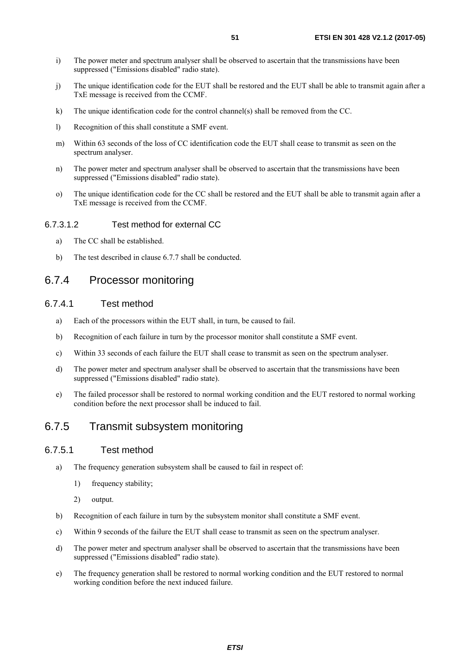- <span id="page-50-0"></span>i) The power meter and spectrum analyser shall be observed to ascertain that the transmissions have been suppressed ("Emissions disabled" radio state).
- j) The unique identification code for the EUT shall be restored and the EUT shall be able to transmit again after a TxE message is received from the CCMF.
- k) The unique identification code for the control channel(s) shall be removed from the CC.
- l) Recognition of this shall constitute a SMF event.
- m) Within 63 seconds of the loss of CC identification code the EUT shall cease to transmit as seen on the spectrum analyser.
- n) The power meter and spectrum analyser shall be observed to ascertain that the transmissions have been suppressed ("Emissions disabled" radio state).
- o) The unique identification code for the CC shall be restored and the EUT shall be able to transmit again after a TxE message is received from the CCMF.

#### 6.7.3.1.2 Test method for external CC

- a) The CC shall be established.
- b) The test described in clause 6.7.7 shall be conducted.

#### 6.7.4 Processor monitoring

#### 6.7.4.1 Test method

- a) Each of the processors within the EUT shall, in turn, be caused to fail.
- b) Recognition of each failure in turn by the processor monitor shall constitute a SMF event.
- c) Within 33 seconds of each failure the EUT shall cease to transmit as seen on the spectrum analyser.
- d) The power meter and spectrum analyser shall be observed to ascertain that the transmissions have been suppressed ("Emissions disabled" radio state).
- e) The failed processor shall be restored to normal working condition and the EUT restored to normal working condition before the next processor shall be induced to fail.

### 6.7.5 Transmit subsystem monitoring

#### 6.7.5.1 Test method

- a) The frequency generation subsystem shall be caused to fail in respect of:
	- 1) frequency stability;
	- 2) output.
- b) Recognition of each failure in turn by the subsystem monitor shall constitute a SMF event.
- c) Within 9 seconds of the failure the EUT shall cease to transmit as seen on the spectrum analyser.
- d) The power meter and spectrum analyser shall be observed to ascertain that the transmissions have been suppressed ("Emissions disabled" radio state).
- e) The frequency generation shall be restored to normal working condition and the EUT restored to normal working condition before the next induced failure.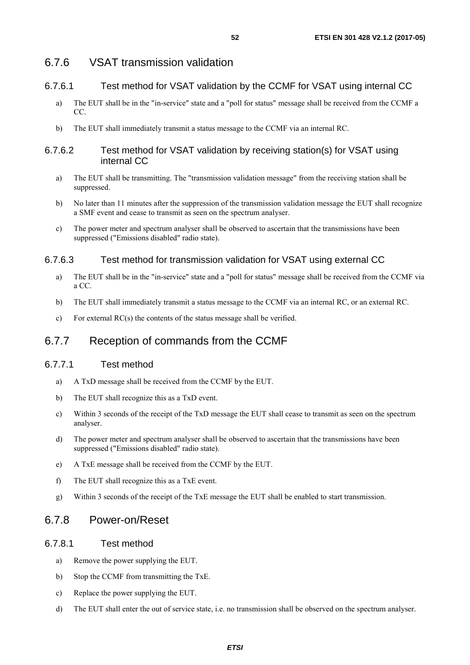### <span id="page-51-0"></span>6.7.6 VSAT transmission validation

#### 6.7.6.1 Test method for VSAT validation by the CCMF for VSAT using internal CC

- a) The EUT shall be in the "in-service" state and a "poll for status" message shall be received from the CCMF a CC.
- b) The EUT shall immediately transmit a status message to the CCMF via an internal RC.

#### 6.7.6.2 Test method for VSAT validation by receiving station(s) for VSAT using internal CC

- a) The EUT shall be transmitting. The "transmission validation message" from the receiving station shall be suppressed.
- b) No later than 11 minutes after the suppression of the transmission validation message the EUT shall recognize a SMF event and cease to transmit as seen on the spectrum analyser.
- c) The power meter and spectrum analyser shall be observed to ascertain that the transmissions have been suppressed ("Emissions disabled" radio state).

#### 6.7.6.3 Test method for transmission validation for VSAT using external CC

- a) The EUT shall be in the "in-service" state and a "poll for status" message shall be received from the CCMF via a CC.
- b) The EUT shall immediately transmit a status message to the CCMF via an internal RC, or an external RC.
- c) For external RC(s) the contents of the status message shall be verified.

## 6.7.7 Reception of commands from the CCMF

#### 6.7.7.1 Test method

- a) A TxD message shall be received from the CCMF by the EUT.
- b) The EUT shall recognize this as a TxD event.
- c) Within 3 seconds of the receipt of the TxD message the EUT shall cease to transmit as seen on the spectrum analyser.
- d) The power meter and spectrum analyser shall be observed to ascertain that the transmissions have been suppressed ("Emissions disabled" radio state).
- e) A TxE message shall be received from the CCMF by the EUT.
- f) The EUT shall recognize this as a TxE event.
- g) Within 3 seconds of the receipt of the TxE message the EUT shall be enabled to start transmission.

### 6.7.8 Power-on/Reset

#### 6.7.8.1 Test method

- a) Remove the power supplying the EUT.
- b) Stop the CCMF from transmitting the TxE.
- c) Replace the power supplying the EUT.
- d) The EUT shall enter the out of service state, i.e. no transmission shall be observed on the spectrum analyser.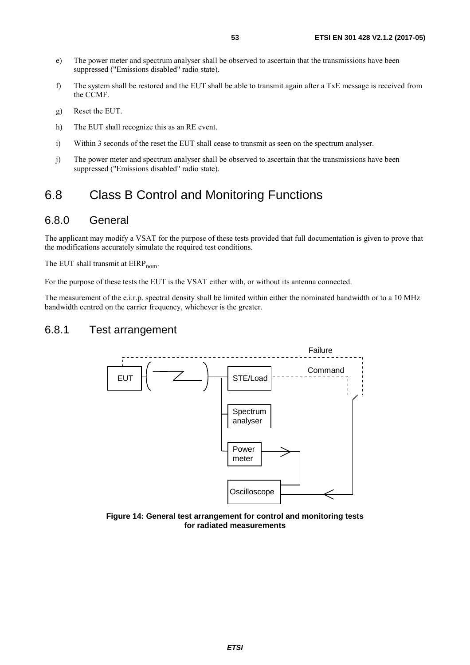- <span id="page-52-0"></span>e) The power meter and spectrum analyser shall be observed to ascertain that the transmissions have been suppressed ("Emissions disabled" radio state).
- f) The system shall be restored and the EUT shall be able to transmit again after a TxE message is received from the CCMF.
- g) Reset the EUT.
- h) The EUT shall recognize this as an RE event.
- i) Within 3 seconds of the reset the EUT shall cease to transmit as seen on the spectrum analyser.
- j) The power meter and spectrum analyser shall be observed to ascertain that the transmissions have been suppressed ("Emissions disabled" radio state).

## 6.8 Class B Control and Monitoring Functions

### 6.8.0 General

The applicant may modify a VSAT for the purpose of these tests provided that full documentation is given to prove that the modifications accurately simulate the required test conditions.

The EUT shall transmit at  $EIRP_{nom}$ .

For the purpose of these tests the EUT is the VSAT either with, or without its antenna connected.

The measurement of the e.i.r.p. spectral density shall be limited within either the nominated bandwidth or to a 10 MHz bandwidth centred on the carrier frequency, whichever is the greater.

### 6.8.1 Test arrangement



**Figure 14: General test arrangement for control and monitoring tests for radiated measurements**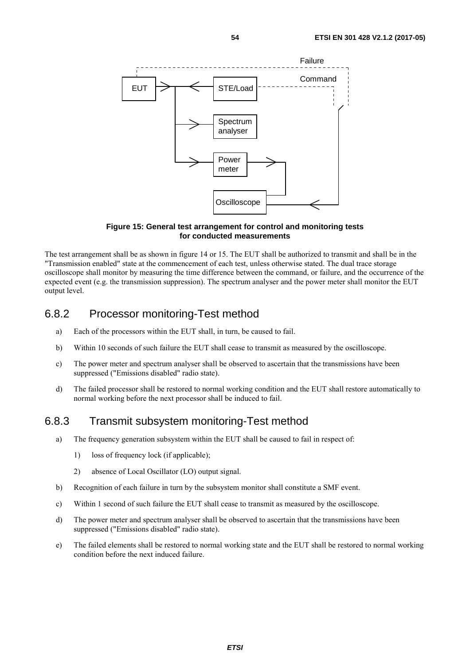<span id="page-53-0"></span>

**Figure 15: General test arrangement for control and monitoring tests for conducted measurements** 

The test arrangement shall be as shown in figure 14 or 15. The EUT shall be authorized to transmit and shall be in the "Transmission enabled" state at the commencement of each test, unless otherwise stated. The dual trace storage oscilloscope shall monitor by measuring the time difference between the command, or failure, and the occurrence of the expected event (e.g. the transmission suppression). The spectrum analyser and the power meter shall monitor the EUT output level

### 6.8.2 Processor monitoring-Test method

- a) Each of the processors within the EUT shall, in turn, be caused to fail.
- b) Within 10 seconds of such failure the EUT shall cease to transmit as measured by the oscilloscope.
- c) The power meter and spectrum analyser shall be observed to ascertain that the transmissions have been suppressed ("Emissions disabled" radio state).
- d) The failed processor shall be restored to normal working condition and the EUT shall restore automatically to normal working before the next processor shall be induced to fail.

### 6.8.3 Transmit subsystem monitoring-Test method

- a) The frequency generation subsystem within the EUT shall be caused to fail in respect of:
	- 1) loss of frequency lock (if applicable);
	- 2) absence of Local Oscillator (LO) output signal.
- b) Recognition of each failure in turn by the subsystem monitor shall constitute a SMF event.
- c) Within 1 second of such failure the EUT shall cease to transmit as measured by the oscilloscope.
- d) The power meter and spectrum analyser shall be observed to ascertain that the transmissions have been suppressed ("Emissions disabled" radio state).
- e) The failed elements shall be restored to normal working state and the EUT shall be restored to normal working condition before the next induced failure.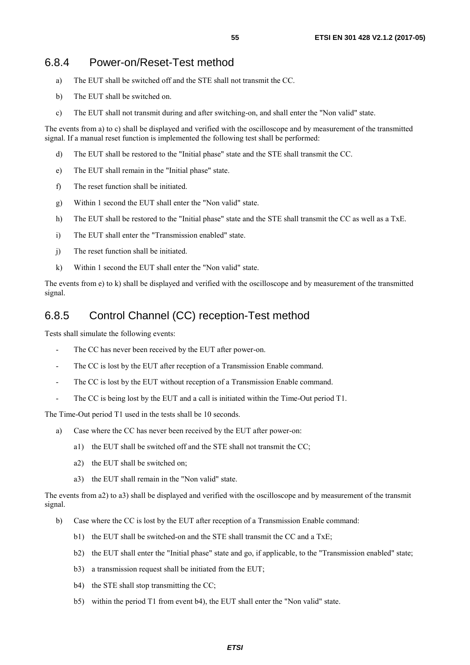### <span id="page-54-0"></span>6.8.4 Power-on/Reset-Test method

- a) The EUT shall be switched off and the STE shall not transmit the CC.
- b) The EUT shall be switched on.
- c) The EUT shall not transmit during and after switching-on, and shall enter the "Non valid" state.

The events from a) to c) shall be displayed and verified with the oscilloscope and by measurement of the transmitted signal. If a manual reset function is implemented the following test shall be performed:

- d) The EUT shall be restored to the "Initial phase" state and the STE shall transmit the CC.
- e) The EUT shall remain in the "Initial phase" state.
- f) The reset function shall be initiated.
- g) Within 1 second the EUT shall enter the "Non valid" state.
- h) The EUT shall be restored to the "Initial phase" state and the STE shall transmit the CC as well as a TxE.
- i) The EUT shall enter the "Transmission enabled" state.
- j) The reset function shall be initiated.
- k) Within 1 second the EUT shall enter the "Non valid" state.

The events from e) to k) shall be displayed and verified with the oscilloscope and by measurement of the transmitted signal.

### 6.8.5 Control Channel (CC) reception-Test method

Tests shall simulate the following events:

- The CC has never been received by the EUT after power-on.
- The CC is lost by the EUT after reception of a Transmission Enable command.
- The CC is lost by the EUT without reception of a Transmission Enable command.
- The CC is being lost by the EUT and a call is initiated within the Time-Out period T1.

The Time-Out period T1 used in the tests shall be 10 seconds.

- a) Case where the CC has never been received by the EUT after power-on:
	- a1) the EUT shall be switched off and the STE shall not transmit the CC;
	- a2) the EUT shall be switched on;
	- a3) the EUT shall remain in the "Non valid" state.

The events from a2) to a3) shall be displayed and verified with the oscilloscope and by measurement of the transmit signal.

- b) Case where the CC is lost by the EUT after reception of a Transmission Enable command:
	- b1) the EUT shall be switched-on and the STE shall transmit the CC and a TxE;
	- b2) the EUT shall enter the "Initial phase" state and go, if applicable, to the "Transmission enabled" state;
	- b3) a transmission request shall be initiated from the EUT;
	- b4) the STE shall stop transmitting the CC;
	- b5) within the period T1 from event b4), the EUT shall enter the "Non valid" state.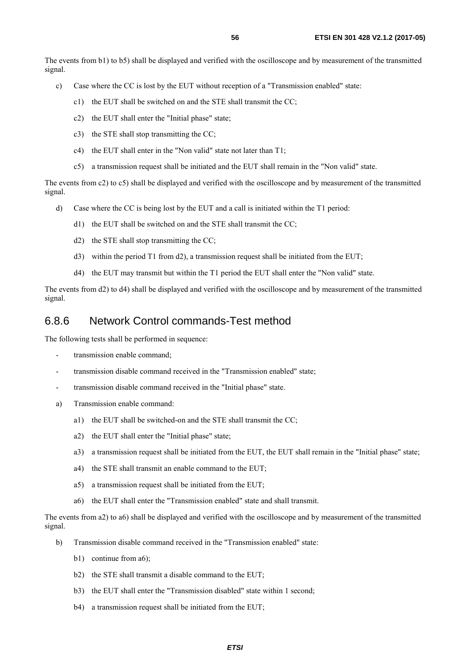<span id="page-55-0"></span>The events from b1) to b5) shall be displayed and verified with the oscilloscope and by measurement of the transmitted signal.

- c) Case where the CC is lost by the EUT without reception of a "Transmission enabled" state:
	- c1) the EUT shall be switched on and the STE shall transmit the CC;
	- c2) the EUT shall enter the "Initial phase" state;
	- c3) the STE shall stop transmitting the CC;
	- c4) the EUT shall enter in the "Non valid" state not later than T1;
	- c5) a transmission request shall be initiated and the EUT shall remain in the "Non valid" state.

The events from c2) to c5) shall be displayed and verified with the oscilloscope and by measurement of the transmitted signal.

- d) Case where the CC is being lost by the EUT and a call is initiated within the T1 period:
	- d1) the EUT shall be switched on and the STE shall transmit the CC;
	- d2) the STE shall stop transmitting the CC;
	- d3) within the period T1 from d2), a transmission request shall be initiated from the EUT;
	- d4) the EUT may transmit but within the T1 period the EUT shall enter the "Non valid" state.

The events from d2) to d4) shall be displayed and verified with the oscilloscope and by measurement of the transmitted signal.

#### 6.8.6 Network Control commands-Test method

The following tests shall be performed in sequence:

- transmission enable command:
- transmission disable command received in the "Transmission enabled" state;
- transmission disable command received in the "Initial phase" state.
- a) Transmission enable command:
	- a1) the EUT shall be switched-on and the STE shall transmit the CC;
	- a2) the EUT shall enter the "Initial phase" state;
	- a3) a transmission request shall be initiated from the EUT, the EUT shall remain in the "Initial phase" state;
	- a4) the STE shall transmit an enable command to the EUT;
	- a5) a transmission request shall be initiated from the EUT;
	- a6) the EUT shall enter the "Transmission enabled" state and shall transmit.

The events from a2) to a6) shall be displayed and verified with the oscilloscope and by measurement of the transmitted signal.

- b) Transmission disable command received in the "Transmission enabled" state:
	- b1) continue from a6):
	- b2) the STE shall transmit a disable command to the EUT;
	- b3) the EUT shall enter the "Transmission disabled" state within 1 second;
	- b4) a transmission request shall be initiated from the EUT;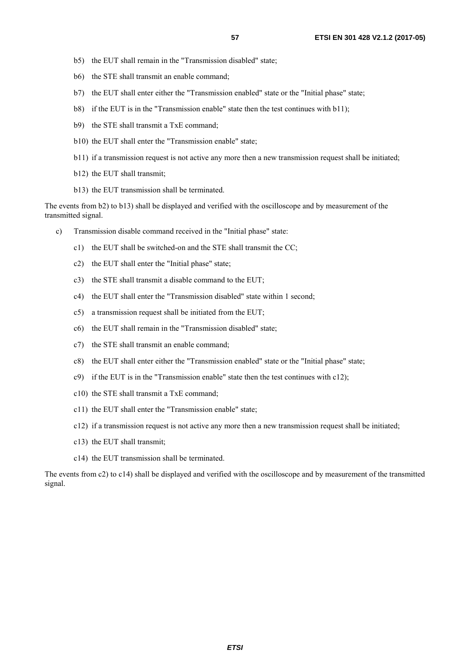- b5) the EUT shall remain in the "Transmission disabled" state;
- b6) the STE shall transmit an enable command;
- b7) the EUT shall enter either the "Transmission enabled" state or the "Initial phase" state;
- b8) if the EUT is in the "Transmission enable" state then the test continues with b11);
- b9) the STE shall transmit a TxE command;
- b10) the EUT shall enter the "Transmission enable" state;
- b11) if a transmission request is not active any more then a new transmission request shall be initiated;
- b12) the EUT shall transmit;
- b13) the EUT transmission shall be terminated.

The events from b2) to b13) shall be displayed and verified with the oscilloscope and by measurement of the transmitted signal.

- c) Transmission disable command received in the "Initial phase" state:
	- c1) the EUT shall be switched-on and the STE shall transmit the CC;
	- c2) the EUT shall enter the "Initial phase" state;
	- c3) the STE shall transmit a disable command to the EUT;
	- c4) the EUT shall enter the "Transmission disabled" state within 1 second;
	- c5) a transmission request shall be initiated from the EUT;
	- c6) the EUT shall remain in the "Transmission disabled" state;
	- c7) the STE shall transmit an enable command;
	- c8) the EUT shall enter either the "Transmission enabled" state or the "Initial phase" state;
	- c9) if the EUT is in the "Transmission enable" state then the test continues with c12);
	- c10) the STE shall transmit a TxE command;
	- c11) the EUT shall enter the "Transmission enable" state;
	- c12) if a transmission request is not active any more then a new transmission request shall be initiated;
	- c13) the EUT shall transmit;
	- c14) the EUT transmission shall be terminated.

The events from c2) to c14) shall be displayed and verified with the oscilloscope and by measurement of the transmitted signal.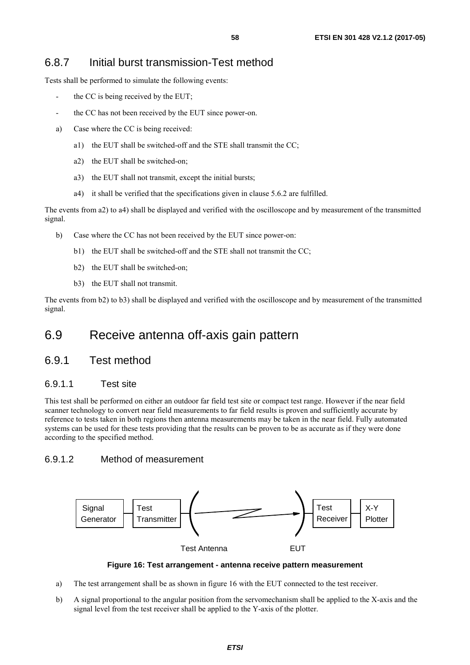### <span id="page-57-0"></span>6.8.7 Initial burst transmission-Test method

Tests shall be performed to simulate the following events:

- the CC is being received by the EUT;
- the CC has not been received by the EUT since power-on.
- a) Case where the CC is being received:
	- a1) the EUT shall be switched-off and the STE shall transmit the CC;
	- a2) the EUT shall be switched-on;
	- a3) the EUT shall not transmit, except the initial bursts;
	- a4) it shall be verified that the specifications given in clause 5.6.2 are fulfilled.

The events from a2) to a4) shall be displayed and verified with the oscilloscope and by measurement of the transmitted signal.

- b) Case where the CC has not been received by the EUT since power-on:
	- b1) the EUT shall be switched-off and the STE shall not transmit the CC;
	- b2) the EUT shall be switched-on;
	- b3) the EUT shall not transmit.

The events from b2) to b3) shall be displayed and verified with the oscilloscope and by measurement of the transmitted signal.

## 6.9 Receive antenna off-axis gain pattern

### 6.9.1 Test method

#### 6.9.1.1 Test site

This test shall be performed on either an outdoor far field test site or compact test range. However if the near field scanner technology to convert near field measurements to far field results is proven and sufficiently accurate by reference to tests taken in both regions then antenna measurements may be taken in the near field. Fully automated systems can be used for these tests providing that the results can be proven to be as accurate as if they were done according to the specified method.

#### 6.9.1.2 Method of measurement



#### **Figure 16: Test arrangement - antenna receive pattern measurement**

- a) The test arrangement shall be as shown in figure 16 with the EUT connected to the test receiver.
- b) A signal proportional to the angular position from the servomechanism shall be applied to the X-axis and the signal level from the test receiver shall be applied to the Y-axis of the plotter.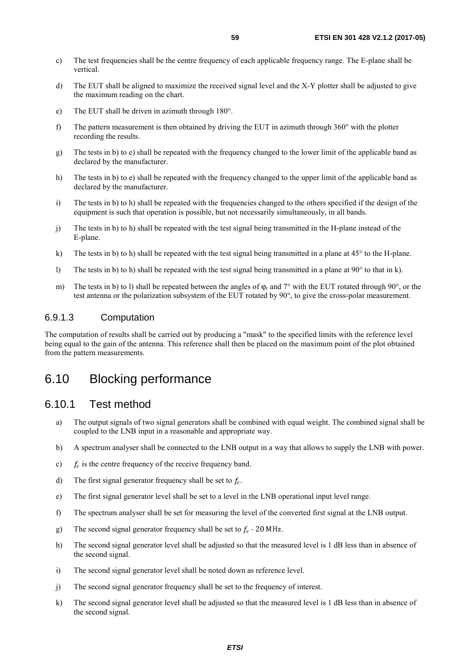- <span id="page-58-0"></span>c) The test frequencies shall be the centre frequency of each applicable frequency range. The E-plane shall be vertical.
- d) The EUT shall be aligned to maximize the received signal level and the X-Y plotter shall be adjusted to give the maximum reading on the chart.
- e) The EUT shall be driven in azimuth through 180°.
- f) The pattern measurement is then obtained by driving the EUT in azimuth through 360° with the plotter recording the results.
- g) The tests in b) to e) shall be repeated with the frequency changed to the lower limit of the applicable band as declared by the manufacturer.
- h) The tests in b) to e) shall be repeated with the frequency changed to the upper limit of the applicable band as declared by the manufacturer.
- i) The tests in b) to h) shall be repeated with the frequencies changed to the others specified if the design of the equipment is such that operation is possible, but not necessarily simultaneously, in all bands.
- j) The tests in b) to h) shall be repeated with the test signal being transmitted in the H-plane instead of the E-plane.
- k) The tests in b) to h) shall be repeated with the test signal being transmitted in a plane at 45° to the H-plane.
- l) The tests in b) to h) shall be repeated with the test signal being transmitted in a plane at 90° to that in k).
- m) The tests in b) to l) shall be repeated between the angles of ϕ*r* and 7° with the EUT rotated through 90°, or the test antenna or the polarization subsystem of the EUT rotated by 90°, to give the cross-polar measurement.

#### 6.9.1.3 Computation

The computation of results shall be carried out by producing a "mask" to the specified limits with the reference level being equal to the gain of the antenna. This reference shall then be placed on the maximum point of the plot obtained from the pattern measurements.

## 6.10 Blocking performance

#### 6.10.1 Test method

- a) The output signals of two signal generators shall be combined with equal weight. The combined signal shall be coupled to the LNB input in a reasonable and appropriate way.
- b) A spectrum analyser shall be connected to the LNB output in a way that allows to supply the LNB with power.
- c)  $f_c$  is the centre frequency of the receive frequency band.
- d) The first signal generator frequency shall be set to  $f_c$ .
- e) The first signal generator level shall be set to a level in the LNB operational input level range.
- f) The spectrum analyser shall be set for measuring the level of the converted first signal at the LNB output.
- g) The second signal generator frequency shall be set to  $f_c$  20 MHz.
- h) The second signal generator level shall be adjusted so that the measured level is 1 dB less than in absence of the second signal.
- i) The second signal generator level shall be noted down as reference level.
- j) The second signal generator frequency shall be set to the frequency of interest.
- k) The second signal generator level shall be adjusted so that the measured level is 1 dB less than in absence of the second signal.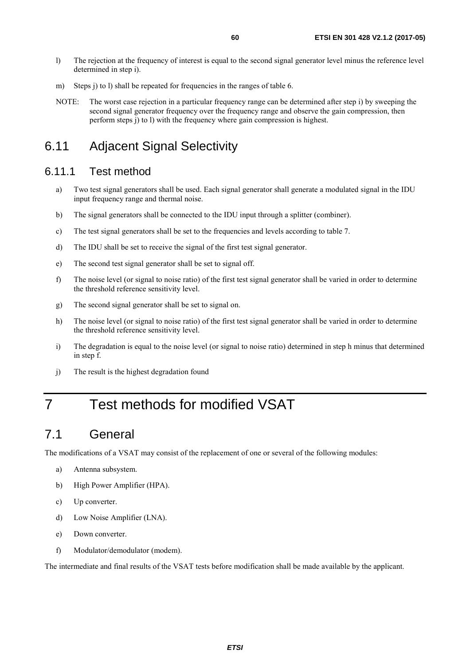- <span id="page-59-0"></span>l) The rejection at the frequency of interest is equal to the second signal generator level minus the reference level determined in step i).
- m) Steps j) to l) shall be repeated for frequencies in the ranges of table 6.
- NOTE: The worst case rejection in a particular frequency range can be determined after step i) by sweeping the second signal generator frequency over the frequency range and observe the gain compression, then perform steps j) to l) with the frequency where gain compression is highest.

## 6.11 Adjacent Signal Selectivity

### 6.11.1 Test method

- a) Two test signal generators shall be used. Each signal generator shall generate a modulated signal in the IDU input frequency range and thermal noise.
- b) The signal generators shall be connected to the IDU input through a splitter (combiner).
- c) The test signal generators shall be set to the frequencies and levels according to table 7.
- d) The IDU shall be set to receive the signal of the first test signal generator.
- e) The second test signal generator shall be set to signal off.
- f) The noise level (or signal to noise ratio) of the first test signal generator shall be varied in order to determine the threshold reference sensitivity level.
- g) The second signal generator shall be set to signal on.
- h) The noise level (or signal to noise ratio) of the first test signal generator shall be varied in order to determine the threshold reference sensitivity level.
- i) The degradation is equal to the noise level (or signal to noise ratio) determined in step h minus that determined in step f.
- j) The result is the highest degradation found

## 7 Test methods for modified VSAT

## 7.1 General

The modifications of a VSAT may consist of the replacement of one or several of the following modules:

- a) Antenna subsystem.
- b) High Power Amplifier (HPA).
- c) Up converter.
- d) Low Noise Amplifier (LNA).
- e) Down converter.
- f) Modulator/demodulator (modem).

The intermediate and final results of the VSAT tests before modification shall be made available by the applicant.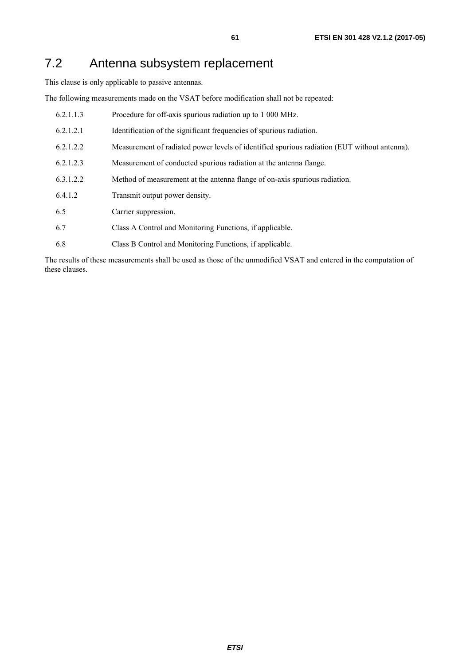## <span id="page-60-0"></span>7.2 Antenna subsystem replacement

This clause is only applicable to passive antennas.

The following measurements made on the VSAT before modification shall not be repeated:

| 6.2.1.1.3 | Procedure for off-axis spurious radiation up to 1 000 MHz.                                   |
|-----------|----------------------------------------------------------------------------------------------|
| 6.2.1.2.1 | Identification of the significant frequencies of spurious radiation.                         |
| 6.2.1.2.2 | Measurement of radiated power levels of identified spurious radiation (EUT without antenna). |
| 6.2.1.2.3 | Measurement of conducted spurious radiation at the antenna flange.                           |
| 6.3.1.2.2 | Method of measurement at the antenna flange of on-axis spurious radiation.                   |
| 6.4.1.2   | Transmit output power density.                                                               |
| 6.5       | Carrier suppression.                                                                         |
| 6.7       | Class A Control and Monitoring Functions, if applicable.                                     |
| 6.8       | Class B Control and Monitoring Functions, if applicable.                                     |

The results of these measurements shall be used as those of the unmodified VSAT and entered in the computation of these clauses.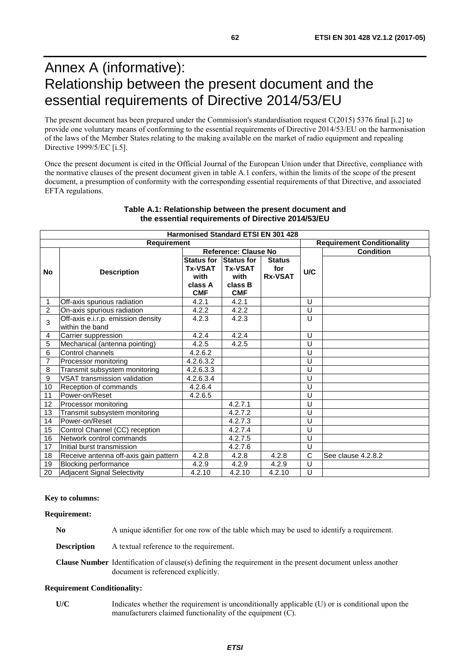## <span id="page-61-0"></span>Annex A (informative): Relationship between the present document and the essential requirements of Directive 2014/53/EU

The present document has been prepared under the Commission's standardisation request C(2015) 5376 final [\[i.2](#page-9-0)] to provide one voluntary means of conforming to the essential requirements of Directive 2014/53/EU on the harmonisation of the laws of the Member States relating to the making available on the market of radio equipment and repealing Directive 1999/5/EC [\[i.5](#page-9-0)].

Once the present document is cited in the Official Journal of the European Union under that Directive, compliance with the normative clauses of the present document given in table A.1 confers, within the limits of the scope of the present document, a presumption of conformity with the corresponding essential requirements of that Directive, and associated EFTA regulations.

| <b>Harmonised Standard ETSI EN 301 428</b> |                                       |                      |                   |                |     |                                   |  |  |  |
|--------------------------------------------|---------------------------------------|----------------------|-------------------|----------------|-----|-----------------------------------|--|--|--|
| Requirement                                |                                       |                      |                   |                |     | <b>Requirement Conditionality</b> |  |  |  |
|                                            |                                       | Reference: Clause No |                   |                |     | <b>Condition</b>                  |  |  |  |
| <b>No</b>                                  | <b>Description</b>                    | <b>Status for</b>    | <b>Status for</b> | <b>Status</b>  |     |                                   |  |  |  |
|                                            |                                       | <b>Tx-VSAT</b>       | <b>Tx-VSAT</b>    | for            | U/C |                                   |  |  |  |
|                                            |                                       | with                 | with              | <b>Rx-VSAT</b> |     |                                   |  |  |  |
|                                            |                                       | class A              | class B           |                |     |                                   |  |  |  |
|                                            |                                       | <b>CMF</b>           | <b>CMF</b>        |                |     |                                   |  |  |  |
| 1                                          | Off-axis spurious radiation           | 4.2.1                | 4.2.1             |                | U   |                                   |  |  |  |
| 2                                          | On-axis spurious radiation            | 4.2.2                | 4.2.2             |                | U   |                                   |  |  |  |
| 3                                          | Off-axis e.i.r.p. emission density    | 4.2.3                | 4.2.3             |                | U   |                                   |  |  |  |
|                                            | within the band                       |                      |                   |                |     |                                   |  |  |  |
| 4                                          | Carrier suppression                   | 4.2.4                | 4.2.4             |                | U   |                                   |  |  |  |
| $\overline{5}$                             | Mechanical (antenna pointing)         | 4.2.5                | 4.2.5             |                | U   |                                   |  |  |  |
| 6                                          | Control channels                      | 4.2.6.2              |                   |                | U   |                                   |  |  |  |
| 7                                          | Processor monitoring                  | 4.2.6.3.2            |                   |                | U   |                                   |  |  |  |
| 8                                          | Transmit subsystem monitoring         | 4.2.6.3.3            |                   |                | U   |                                   |  |  |  |
| $\overline{9}$                             | VSAT transmission validation          | 4.2.6.3.4            |                   |                | U   |                                   |  |  |  |
| 10                                         | Reception of commands                 | 4.2.6.4              |                   |                | U   |                                   |  |  |  |
| 11                                         | Power-on/Reset                        | 4.2.6.5              |                   |                | U   |                                   |  |  |  |
| 12                                         | Processor monitoring                  |                      | 4.2.7.1           |                | U   |                                   |  |  |  |
| 13                                         | Transmit subsystem monitoring         |                      | 4.2.7.2           |                | U   |                                   |  |  |  |
| 14                                         | Power-on/Reset                        |                      | 4.2.7.3           |                | U   |                                   |  |  |  |
| 15                                         | Control Channel (CC) reception        |                      | 4.2.7.4           |                | U   |                                   |  |  |  |
| 16                                         | Network control commands              |                      | 4.2.7.5           |                | U   |                                   |  |  |  |
| 17                                         | Initial burst transmission            |                      | 4.2.7.6           |                | U   |                                   |  |  |  |
| 18                                         | Receive antenna off-axis gain pattern | 4.2.8                | 4.2.8             | 4.2.8          | C   | See clause 4.2.8.2                |  |  |  |
| 19                                         | Blocking performance                  | 4.2.9                | 4.2.9             | 4.2.9          | U   |                                   |  |  |  |
| 20                                         | Adjacent Signal Selectivity           | 4.2.10               | 4.2.10            | 4.2.10         | U   |                                   |  |  |  |

#### **Table A.1: Relationship between the present document and the essential requirements of Directive 2014/53/EU**

#### **Key to columns:**

#### **Requirement:**

**No** A unique identifier for one row of the table which may be used to identify a requirement.

**Description** A textual reference to the requirement.

**Clause Number** Identification of clause(s) defining the requirement in the present document unless another document is referenced explicitly.

#### **Requirement Conditionality:**

**U/C** Indicates whether the requirement is unconditionally applicable (U) or is conditional upon the manufacturers claimed functionality of the equipment (C).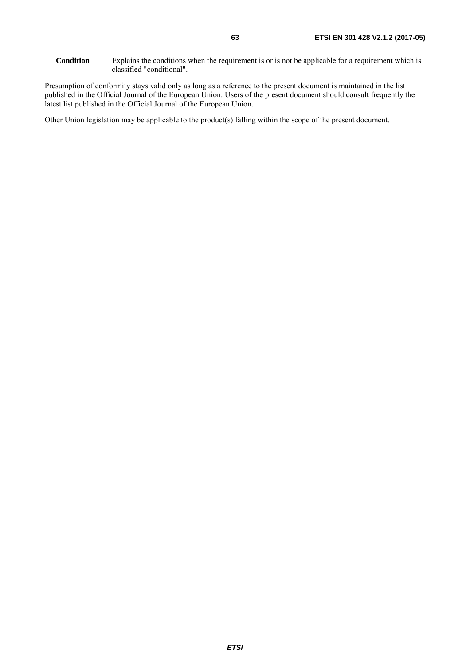Presumption of conformity stays valid only as long as a reference to the present document is maintained in the list published in the Official Journal of the European Union. Users of the present document should consult frequently the latest list published in the Official Journal of the European Union.

Other Union legislation may be applicable to the product(s) falling within the scope of the present document.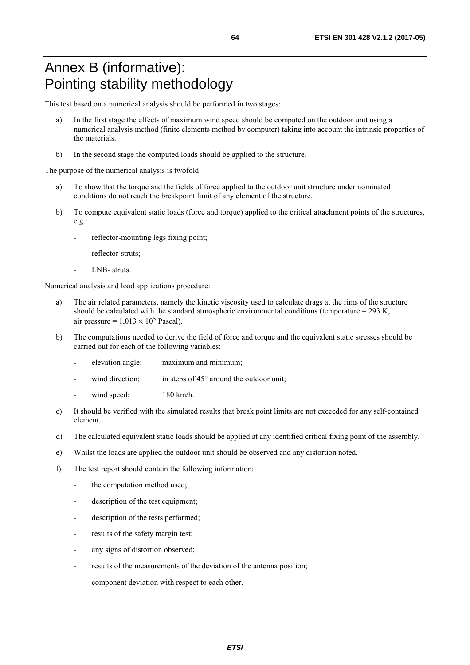## <span id="page-63-0"></span>Annex B (informative): Pointing stability methodology

This test based on a numerical analysis should be performed in two stages:

- a) In the first stage the effects of maximum wind speed should be computed on the outdoor unit using a numerical analysis method (finite elements method by computer) taking into account the intrinsic properties of the materials.
- b) In the second stage the computed loads should be applied to the structure.

The purpose of the numerical analysis is twofold:

- a) To show that the torque and the fields of force applied to the outdoor unit structure under nominated conditions do not reach the breakpoint limit of any element of the structure.
- b) To compute equivalent static loads (force and torque) applied to the critical attachment points of the structures, e.g.:
	- reflector-mounting legs fixing point;
	- reflector-struts:
	- LNB- struts.

Numerical analysis and load applications procedure:

- a) The air related parameters, namely the kinetic viscosity used to calculate drags at the rims of the structure should be calculated with the standard atmospheric environmental conditions (temperature = 293 K, air pressure =  $1.013 \times 10^5$  Pascal).
- b) The computations needed to derive the field of force and torque and the equivalent static stresses should be carried out for each of the following variables:
	- elevation angle: maximum and minimum;
	- wind direction: in steps of  $45^{\circ}$  around the outdoor unit;
	- wind speed: 180 km/h.
- c) It should be verified with the simulated results that break point limits are not exceeded for any self-contained element.
- d) The calculated equivalent static loads should be applied at any identified critical fixing point of the assembly.
- e) Whilst the loads are applied the outdoor unit should be observed and any distortion noted.
- f) The test report should contain the following information:
	- the computation method used;
	- description of the test equipment;
	- description of the tests performed;
	- results of the safety margin test;
	- any signs of distortion observed;
	- results of the measurements of the deviation of the antenna position;
	- component deviation with respect to each other.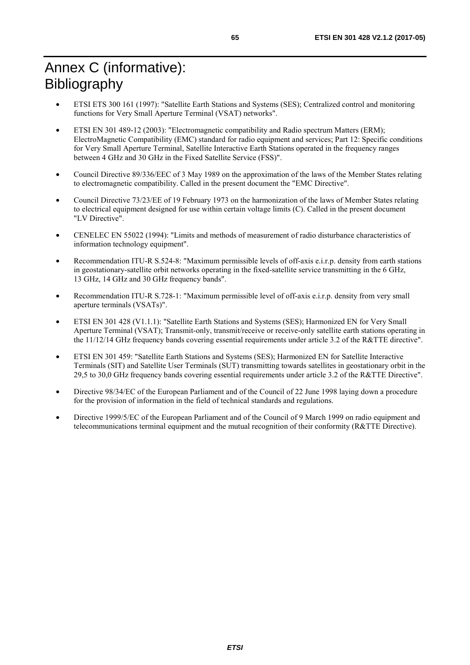## <span id="page-64-0"></span>Annex C (informative): Bibliography

- ETSI ETS 300 161 (1997): "Satellite Earth Stations and Systems (SES); Centralized control and monitoring functions for Very Small Aperture Terminal (VSAT) networks".
- ETSI EN 301 489-12 (2003): "Electromagnetic compatibility and Radio spectrum Matters (ERM); ElectroMagnetic Compatibility (EMC) standard for radio equipment and services; Part 12: Specific conditions for Very Small Aperture Terminal, Satellite Interactive Earth Stations operated in the frequency ranges between 4 GHz and 30 GHz in the Fixed Satellite Service (FSS)".
- Council Directive 89/336/EEC of 3 May 1989 on the approximation of the laws of the Member States relating to electromagnetic compatibility. Called in the present document the "EMC Directive".
- Council Directive 73/23/EE of 19 February 1973 on the harmonization of the laws of Member States relating to electrical equipment designed for use within certain voltage limits (C). Called in the present document "LV Directive".
- CENELEC EN 55022 (1994): "Limits and methods of measurement of radio disturbance characteristics of information technology equipment".
- Recommendation ITU-R S.524-8: "Maximum permissible levels of off-axis e.i.r.p. density from earth stations in geostationary-satellite orbit networks operating in the fixed-satellite service transmitting in the 6 GHz, 13 GHz, 14 GHz and 30 GHz frequency bands".
- Recommendation ITU-R S.728-1: "Maximum permissible level of off-axis e.i.r.p. density from very small aperture terminals (VSATs)".
- ETSI EN 301 428 (V1.1.1): "Satellite Earth Stations and Systems (SES); Harmonized EN for Very Small Aperture Terminal (VSAT); Transmit-only, transmit/receive or receive-only satellite earth stations operating in the 11/12/14 GHz frequency bands covering essential requirements under article 3.2 of the R&TTE directive".
- ETSI EN 301 459: "Satellite Earth Stations and Systems (SES); Harmonized EN for Satellite Interactive Terminals (SIT) and Satellite User Terminals (SUT) transmitting towards satellites in geostationary orbit in the 29,5 to 30,0 GHz frequency bands covering essential requirements under article 3.2 of the R&TTE Directive".
- Directive 98/34/EC of the European Parliament and of the Council of 22 June 1998 laying down a procedure for the provision of information in the field of technical standards and regulations.
- Directive 1999/5/EC of the European Parliament and of the Council of 9 March 1999 on radio equipment and telecommunications terminal equipment and the mutual recognition of their conformity (R&TTE Directive).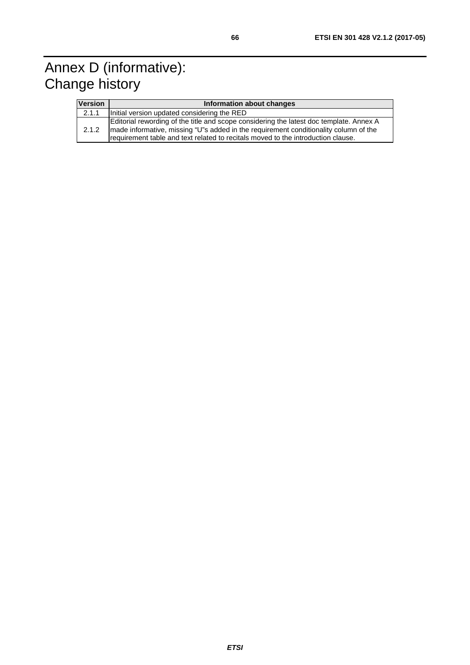## <span id="page-65-0"></span>Annex D (informative): Change history

| <b>Version</b> | Information about changes                                                                                                                                                                                                                                           |  |  |  |  |
|----------------|---------------------------------------------------------------------------------------------------------------------------------------------------------------------------------------------------------------------------------------------------------------------|--|--|--|--|
| 2.1.1          | Initial version updated considering the RED                                                                                                                                                                                                                         |  |  |  |  |
| 2.1.2          | Editorial rewording of the title and scope considering the latest doc template. Annex A<br>made informative, missing "U"s added in the requirement conditionality column of the<br>requirement table and text related to recitals moved to the introduction clause. |  |  |  |  |